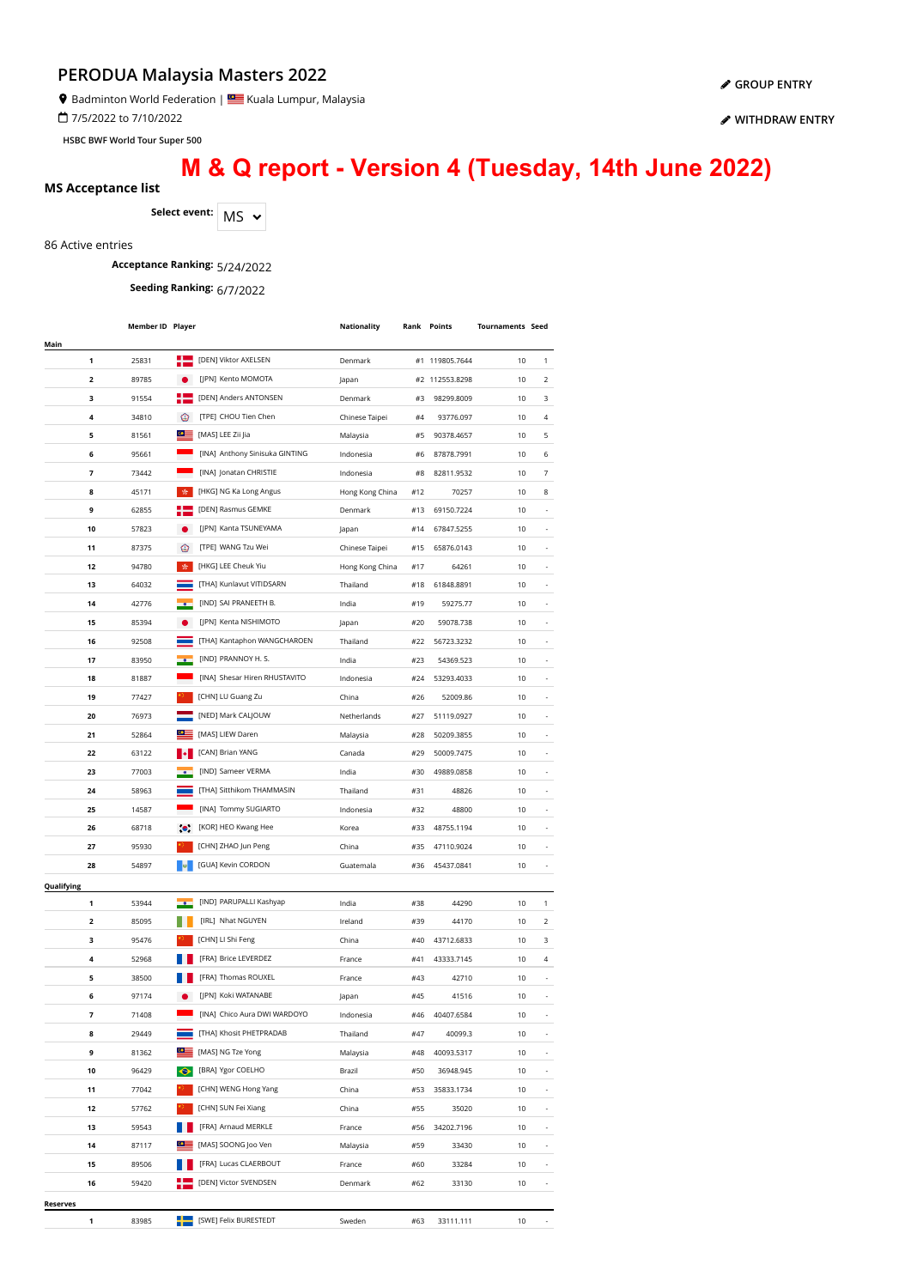Badminton World Federation | Kuala Lumpur, Malaysia

7/5/2022 to 7/10/2022

**HSBC BWF World Tour Super 500**

**[WITHDRAW ENTRY](https://bwf.tournamentsoftware.com/sport/entry_management.aspx?id=EE44BEB4-66E3-4303-A3FB-2445388DDEF4)**

**[GROUP ENTRY](https://bwf.tournamentsoftware.com/individual-entry/EE44BEB4-66E3-4303-A3FB-2445388DDEF4)**

# **M & Q report - Version 4 (Tuesday, 14th June 2022)**

#### **MS Acceptance list**

Select event: MS  $\sim$ 

86 Active entries

**Acceptance Ranking:** 5/24/2022

**Seeding Ranking:** 6/7/2022

|                 | <b>Member ID Player</b> |                  |                                                         | Nationality     |     | Rank Points    | <b>Tournaments Seed</b> |                          |
|-----------------|-------------------------|------------------|---------------------------------------------------------|-----------------|-----|----------------|-------------------------|--------------------------|
| Main            |                         |                  |                                                         |                 |     |                |                         |                          |
| 1               | 25831                   |                  | [DEN] Viktor AXELSEN                                    | Denmark         |     | #1 119805.7644 | 10                      | 1                        |
| 2               | 89785                   |                  | [JPN] Kento MOMOTA                                      | Japan           |     | #2 112553.8298 | 10                      | 2                        |
| 3               | 91554                   | н                | [DEN] Anders ANTONSEN                                   | Denmark         | #3  | 98299.8009     | 10                      | 3                        |
| 4               | 34810                   | ⊛                | [TPE] CHOU Tien Chen                                    | Chinese Taipei  | #4  | 93776.097      | 10                      | 4                        |
| 5               | 81561                   | $\circ$ $\equiv$ | [MAS] LEE Zii Jia                                       | Malaysia        | #5  | 90378.4657     | 10                      | 5                        |
| 6               | 95661                   |                  | [INA] Anthony Sinisuka GINTING                          | Indonesia       | #6  | 87878.7991     | 10                      | 6                        |
| 7               | 73442                   |                  | [INA] Jonatan CHRISTIE                                  | Indonesia       | #8  | 82811.9532     | 10                      | $\overline{7}$           |
| 8               | 45171                   | 女。               | [HKG] NG Ka Long Angus                                  | Hong Kong China | #12 | 70257          | 10                      | 8                        |
| 9               | 62855                   |                  | [DEN] Rasmus GEMKE                                      | Denmark         | #13 | 69150.7224     | 10                      |                          |
| 10              | 57823                   |                  | [JPN] Kanta TSUNEYAMA                                   | Japan           | #14 | 67847.5255     | 10                      |                          |
| 11              | 87375                   | ◉                | [TPE] WANG Tzu Wei                                      | Chinese Taipei  | #15 | 65876.0143     | 10                      |                          |
| 12              | 94780                   | 责                | [HKG] LEE Cheuk Yiu                                     | Hong Kong China | #17 | 64261          | 10                      |                          |
| 13              | 64032                   |                  | [THA] Kunlavut VITIDSARN                                | Thailand        | #18 | 61848.8891     | 10                      |                          |
| 14              | 42776                   |                  | [IND] SAI PRANEETH B.                                   | India           | #19 | 59275.77       | 10                      |                          |
| 15              | 85394                   |                  | [JPN] Kenta NISHIMOTO                                   | Japan           | #20 | 59078.738      | 10                      |                          |
| 16              | 92508                   |                  | [THA] Kantaphon WANGCHAROEN                             | Thailand        | #22 | 56723.3232     | 10                      |                          |
| 17              | 83950                   |                  | [IND] PRANNOY H. S.                                     | India           | #23 | 54369.523      | 10                      |                          |
| 18              | 81887                   |                  | [INA] Shesar Hiren RHUSTAVITO                           | Indonesia       | #24 | 53293.4033     | 10                      |                          |
| 19              | 77427                   |                  | [CHN] LU Guang Zu                                       | China           | #26 | 52009.86       | 10                      |                          |
| 20              | 76973                   |                  | [NED] Mark CALJOUW                                      | Netherlands     | #27 | 51119.0927     | 10                      |                          |
| 21              | 52864                   |                  | [MAS] LIEW Daren                                        | Malaysia        | #28 | 50209.3855     | 10                      |                          |
| 22              | 63122                   |                  | [CAN] Brian YANG                                        | Canada          | #29 | 50009.7475     | 10                      |                          |
| 23              | 77003                   |                  | [IND] Sameer VERMA                                      | India           | #30 | 49889.0858     | 10                      |                          |
| 24              | 58963                   |                  | [THA] Sitthikom THAMMASIN                               | Thailand        | #31 | 48826          | 10                      |                          |
| 25              | 14587                   |                  | [INA] Tommy SUGIARTO                                    | Indonesia       | #32 | 48800          | 10                      |                          |
| 26              | 68718                   | $\bullet$        | [KOR] HEO Kwang Hee                                     | Korea           | #33 | 48755.1194     | 10                      | $\overline{\phantom{a}}$ |
| 27              | 95930                   |                  | [CHN] ZHAO Jun Peng                                     | China           | #35 | 47110.9024     | 10                      | $\overline{a}$           |
| 28              | 54897                   |                  | [GUA] Kevin CORDON                                      | Guatemala       | #36 | 45437.0841     | 10                      | ٠                        |
| Qualifying      |                         |                  |                                                         |                 |     |                |                         |                          |
| 1               | 53944                   |                  | [IND] PARUPALLI Kashyap                                 | India           | #38 | 44290          | 10                      | 1                        |
| 2               | 85095                   |                  | [IRL] Nhat NGUYEN                                       | Ireland         | #39 | 44170          | 10                      | 2                        |
| 3               | 95476                   |                  | [CHN] LI Shi Feng                                       | China           | #40 | 43712.6833     | 10                      | 3                        |
| 4               | 52968                   |                  | [FRA] Brice LEVERDEZ                                    | France          | #41 | 43333.7145     | 10                      | 4                        |
| 5               | 38500                   |                  | [FRA] Thomas ROUXEL                                     | France          | #43 | 42710          | 10                      |                          |
| 6               | 97174                   |                  | [JPN] Koki WATANABE                                     | Japan           | #45 | 41516          | 10                      |                          |
| 7               | 71408                   |                  | [INA] Chico Aura DWI WARDOYO                            | Indonesia       | #46 | 40407.6584     | 10                      |                          |
| 8               | 29449                   |                  | [THA] Khosit PHETPRADAB                                 | Thailand        | #47 | 40099.3        | 10                      |                          |
| 9               | 81362                   | $\circ \equiv$   | [MAS] NG Tze Yong                                       | Malaysia        | #48 | 40093.5317     | 10                      |                          |
| 10              | 96429                   | $\bullet$        | [BRA] Ygor COELHO                                       | Brazil          | #50 | 36948.945      | 10                      | $\overline{\phantom{a}}$ |
| 11              | 77042                   |                  | [CHN] WENG Hong Yang                                    | China           | #53 | 35833.1734     | 10                      | $\overline{\phantom{a}}$ |
| 12              | 57762                   |                  | [CHN] SUN Fei Xiang                                     | China           | #55 | 35020          | 10                      | ÷,                       |
| 13              | 59543                   |                  | [FRA] Arnaud MERKLE                                     | France          | #56 | 34202.7196     | 10                      | ÷,                       |
| 14              | 87117                   |                  | [MAS] SOONG Joo Ven                                     | Malaysia        | #59 | 33430          | 10                      | ÷,                       |
| 15              | 89506                   |                  | [FRA] Lucas CLAERBOUT                                   | France          | #60 | 33284          | 10                      |                          |
| 16              | 59420                   |                  | [DEN] Victor SVENDSEN                                   | Denmark         | #62 | 33130          | 10                      |                          |
| <b>Reserves</b> |                         |                  |                                                         |                 |     |                |                         |                          |
| 1               | 83985                   |                  | <b>E EXAMPLE IS SUPPER TO A LIGHT THE EXAMPLE STEET</b> | Sweden          | #63 | 33111.111      | 10                      |                          |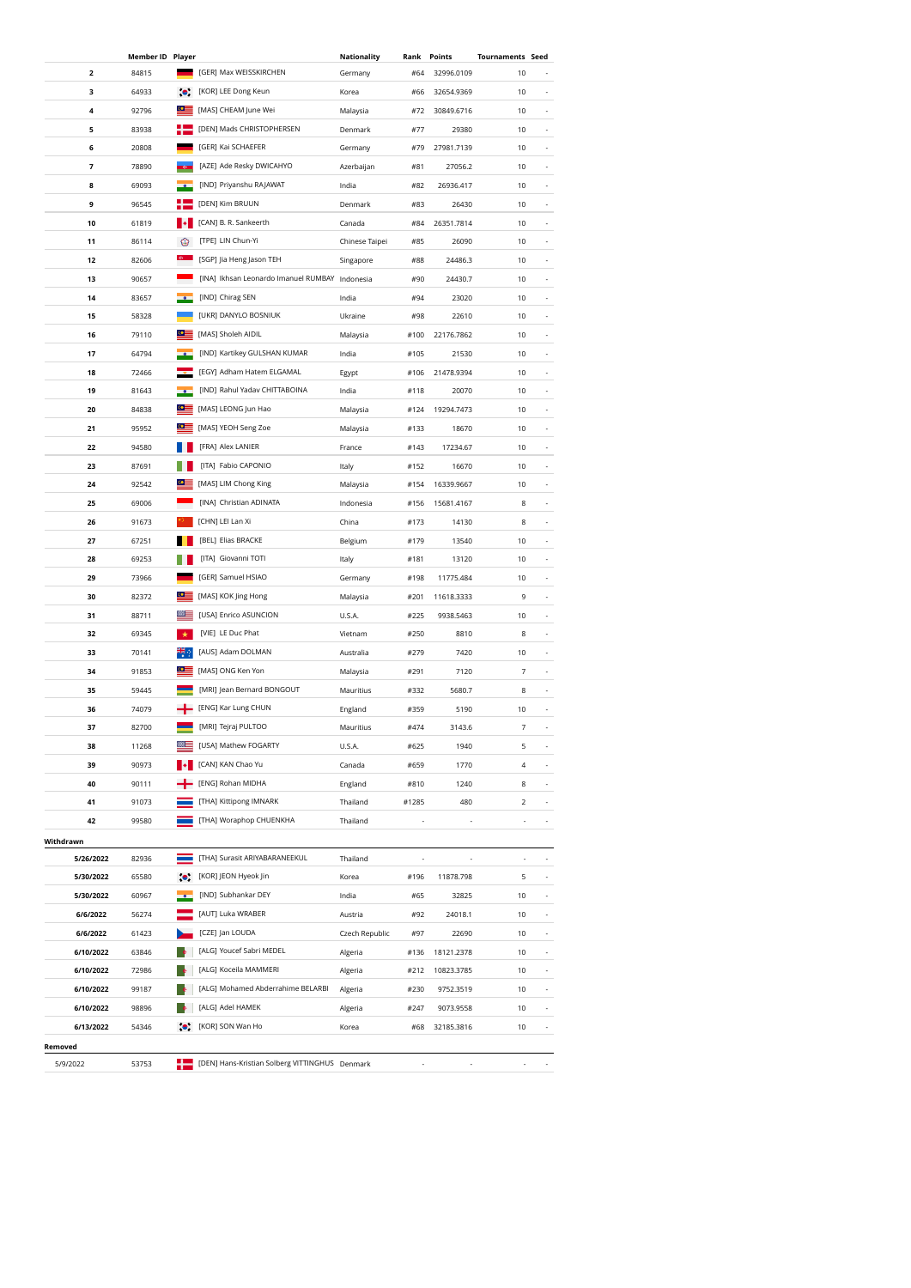|           | <b>Member ID Player</b> |              |                                                | Nationality    | Rank  | Points     | <b>Tournaments Seed</b>  |                          |
|-----------|-------------------------|--------------|------------------------------------------------|----------------|-------|------------|--------------------------|--------------------------|
| 2         | 84815                   |              | [GER] Max WEISSKIRCHEN                         | Germany        | #64   | 32996.0109 | 10                       |                          |
| з         | 64933                   | $\bullet$    | [KOR] LEE Dong Keun                            | Korea          | #66   | 32654.9369 | 10                       |                          |
| 4         | 92796                   | $\circ$      | [MAS] CHEAM June Wei                           | Malaysia       | #72   | 30849.6716 | 10                       |                          |
| 5         | 83938                   | н            | [DEN] Mads CHRISTOPHERSEN                      | Denmark        | #77   | 29380      | 10                       |                          |
| 6         | 20808                   |              | [GER] Kai SCHAEFER                             | Germany        | #79   | 27981.7139 | 10                       |                          |
| 7         | 78890                   | <b>xa</b>    | [AZE] Ade Resky DWICAHYO                       | Azerbaijan     | #81   | 27056.2    | 10                       |                          |
| 8         | 69093                   |              | [IND] Priyanshu RAJAWAT                        | India          | #82   | 26936.417  | 10                       |                          |
| 9         | 96545                   |              | [DEN] Kim BRUUN                                | Denmark        | #83   | 26430      | 10                       |                          |
| 10        | 61819                   |              | [CAN] B. R. Sankeerth                          | Canada         | #84   | 26351.7814 | 10                       |                          |
| 11        | 86114                   | ◉            | [TPE] LIN Chun-Yi                              | Chinese Taipei | #85   | 26090      | 10                       |                          |
| 12        | 82606                   |              | [SGP] Jia Heng Jason TEH                       | Singapore      | #88   | 24486.3    | 10                       |                          |
| 13        | 90657                   |              | [INA] Ikhsan Leonardo Imanuel RUMBAY Indonesia |                | #90   | 24430.7    | 10                       |                          |
| 14        | 83657                   |              | [IND] Chirag SEN                               | India          | #94   | 23020      | 10                       |                          |
| 15        | 58328                   |              | [UKR] DANYLO BOSNIUK                           | Ukraine        | #98   | 22610      | 10                       |                          |
| 16        | 79110                   | ⊙≣           | [MAS] Sholeh AIDIL                             | Malaysia       | #100  | 22176.7862 | 10                       |                          |
| 17        | 64794                   |              | [IND] Kartikey GULSHAN KUMAR                   | India          | #105  | 21530      | 10                       |                          |
| 18        | 72466                   |              | [EGY] Adham Hatem ELGAMAL                      | Egypt          | #106  | 21478.9394 | 10                       |                          |
| 19        | 81643                   |              | [IND] Rahul Yadav CHITTABOINA                  | India          | #118  | 20070      | 10                       |                          |
| 20        | 84838                   | $\bullet$    | [MAS] LEONG Jun Hao                            | Malaysia       | #124  | 19294.7473 | 10                       |                          |
| 21        | 95952                   | $\circ$      | [MAS] YEOH Seng Zoe                            | Malaysia       | #133  | 18670      | 10                       |                          |
| 22        | 94580                   |              | [FRA] Alex LANIER                              | France         | #143  | 17234.67   | 10                       |                          |
| 23        | 87691                   |              | [ITA] Fabio CAPONIO                            | Italy          | #152  | 16670      | 10                       |                          |
| 24        | 92542                   |              | [MAS] LIM Chong King                           | Malaysia       | #154  | 16339.9667 | 10                       |                          |
| 25        | 69006                   |              | [INA] Christian ADINATA                        | Indonesia      | #156  | 15681.4167 | 8                        |                          |
| 26        | 91673                   |              | [CHN] LEI Lan Xi                               | China          | #173  | 14130      | 8                        |                          |
| 27        | 67251                   |              | [BEL] Elias BRACKE                             | Belgium        | #179  | 13540      | 10                       | $\overline{\phantom{a}}$ |
| 28        | 69253                   |              | [ITA] Giovanni TOTI                            | Italy          | #181  | 13120      | 10                       | $\overline{\phantom{a}}$ |
| 29        | 73966                   |              | [GER] Samuel HSIAO                             | Germany        | #198  | 11775.484  | 10                       | $\overline{\phantom{a}}$ |
| 30        | 82372                   | $\circ$      | [MAS] KOK Jing Hong                            | Malaysia       | #201  | 11618.3333 | 9                        | $\overline{\phantom{a}}$ |
| 31        | 88711                   | ▩▬           | [USA] Enrico ASUNCION                          | U.S.A.         | #225  | 9938.5463  | 10                       |                          |
| 32        | 69345                   | ×            | [VIE] LE Duc Phat                              | Vietnam        | #250  | 8810       | 8                        |                          |
| 33        | 70141                   |              | [AUS] Adam DOLMAN                              | Australia      | #279  | 7420       | 10                       |                          |
| 34        | 91853                   | $\bullet$    | [MAS] ONG Ken Yon                              | Malaysia       | #291  | 7120       | 7                        |                          |
| 35        | 59445                   |              | [MRI] Jean Bernard BONGOUT                     |                | #332  | 5680.7     | 8                        |                          |
| 36        | 74079                   |              | [ENG] Kar Lung CHUN                            | Mauritius      | #359  | 5190       | 10                       |                          |
|           |                         |              | [MRI] Tejraj PULTOO                            | England        |       |            | $\overline{\phantom{a}}$ |                          |
| 37        | 82700                   | <del>∞</del> |                                                | Mauritius      | #474  | 3143.6     |                          |                          |
| 38        | 11268<br>90973          |              | [USA] Mathew FOGARTY                           | U.S.A.         | #625  | 1940       | 5                        |                          |
| 39        |                         |              | [CAN] KAN Chao Yu<br>[ENG] Rohan MIDHA         | Canada         | #659  | 1770       | 4                        |                          |
| 40        | 90111                   |              |                                                | England        | #810  | 1240       | 8                        | $\overline{\phantom{a}}$ |
| 41        | 91073                   |              | [THA] Kittipong IMNARK                         | Thailand       | #1285 | 480        | 2                        | $\overline{\phantom{a}}$ |
| 42        | 99580                   |              | [THA] Woraphop CHUENKHA                        | Thailand       |       |            | ÷,                       | $\overline{\phantom{a}}$ |
| Withdrawn |                         |              |                                                |                |       |            |                          |                          |
| 5/26/2022 | 82936                   |              | [THA] Surasit ARIYABARANEEKUL                  | Thailand       |       |            |                          |                          |
| 5/30/2022 | 65580                   |              | [KOR] JEON Hyeok Jin                           | Korea          | #196  | 11878.798  | 5                        |                          |
| 5/30/2022 | 60967                   |              | [IND] Subhankar DEY                            | India          | #65   | 32825      | 10                       |                          |
| 6/6/2022  | 56274                   |              | [AUT] Luka WRABER                              | Austria        | #92   | 24018.1    | 10                       |                          |
| 6/6/2022  | 61423                   |              | [CZE] Jan LOUDA                                | Czech Republic | #97   | 22690      | 10                       |                          |
| 6/10/2022 | 63846                   |              | [ALG] Youcef Sabri MEDEL                       | Algeria        | #136  | 18121.2378 | 10                       |                          |
| 6/10/2022 | 72986                   |              | [ALG] Koceila MAMMERI                          | Algeria        | #212  | 10823.3785 | 10                       |                          |
| 6/10/2022 | 99187                   |              | [ALG] Mohamed Abderrahime BELARBI              | Algeria        | #230  | 9752.3519  | 10                       |                          |
| 6/10/2022 | 98896                   |              | [ALG] Adel HAMEK                               | Algeria        | #247  | 9073.9558  | 10                       |                          |
| 6/13/2022 | 54346                   |              | [KOR] SON Wan Ho                               | Korea          | #68   | 32185.3816 | 10                       |                          |
| Removed   |                         |              |                                                |                |       |            |                          |                          |
| 5/9/2022  | 53753                   |              | [DEN] Hans-Kristian Solberg VITTINGHUS Denmark |                |       |            |                          |                          |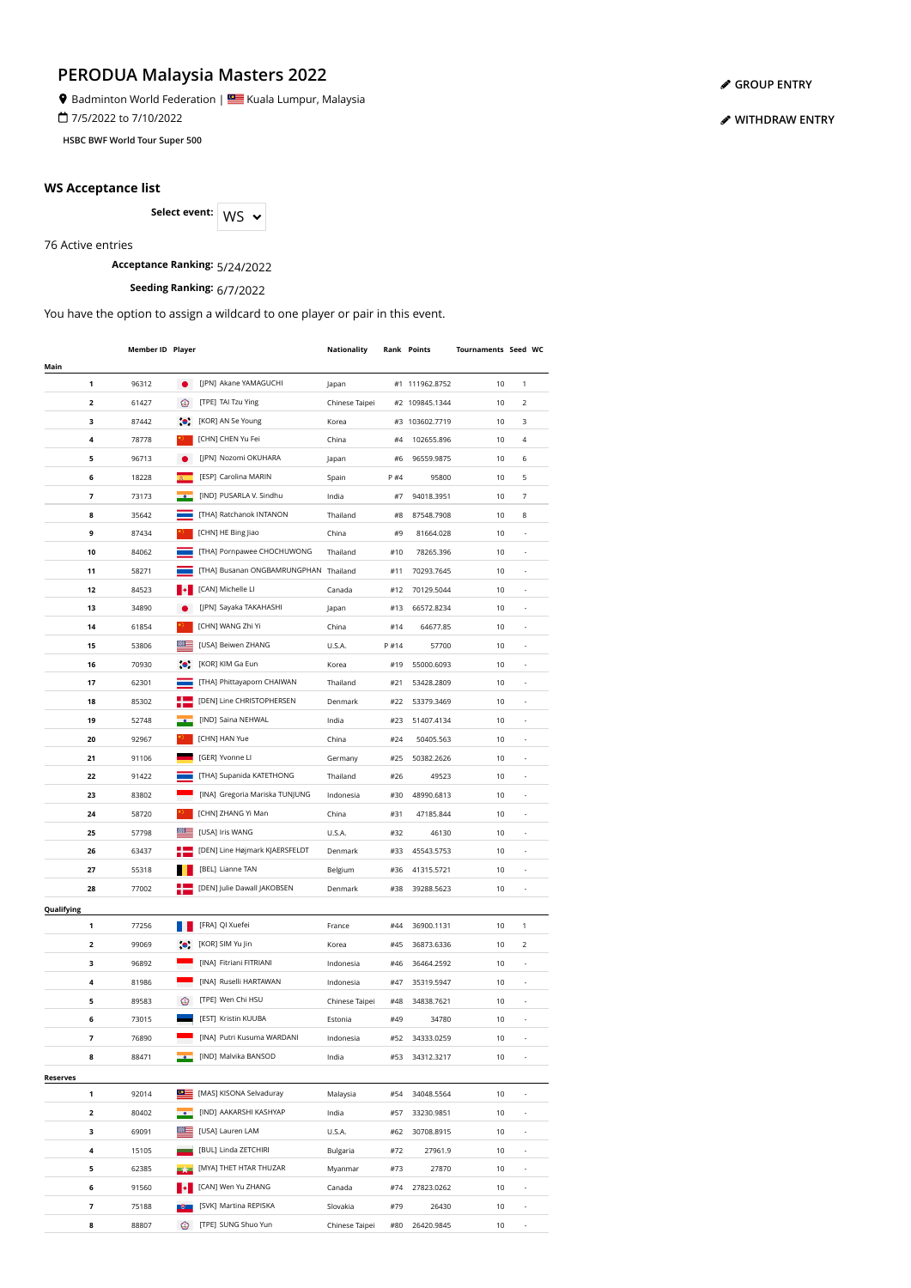Badminton World Federation | **SALLA BAD** Kuala Lumpur, Malaysia

7/5/2022 to 7/10/2022

**HSBC BWF World Tour Super 500**

#### **WS Acceptance list**

Select event: WS  $\sim$ 

76 Active entries

**Acceptance Ranking:** 5/24/2022

**Seeding Ranking:** 6/7/2022

You have the option to assign a wildcard to one player or pair in this event.

|                          | Member ID Player |           |                                       | Nationality    |      | <b>Rank Points</b> | Tournaments Seed WC |                          |  |
|--------------------------|------------------|-----------|---------------------------------------|----------------|------|--------------------|---------------------|--------------------------|--|
| Main                     |                  |           |                                       |                |      |                    |                     |                          |  |
| 1                        | 96312            | Ō         | [JPN] Akane YAMAGUCHI                 | Japan          |      | #1 111962.8752     | 10                  | 1                        |  |
| 2                        | 61427            | ⊛         | [TPE] TAI Tzu Ying                    | Chinese Taipei |      | #2 109845.1344     | 10                  | 2                        |  |
| з                        | 87442            | $\bullet$ | [KOR] AN Se Young                     | Korea          |      | #3 103602.7719     | 10                  | 3                        |  |
| 4                        | 78778            |           | [CHN] CHEN Yu Fei                     | China          | #4   | 102655.896         | 10                  | 4                        |  |
| 5                        | 96713            |           | [JPN] Nozomi OKUHARA                  | Japan          | #6   | 96559.9875         | 10                  | 6                        |  |
| 6                        | 18228            |           | [ESP] Carolina MARIN                  | Spain          | P #4 | 95800              | 10                  | 5                        |  |
| $\overline{\phantom{a}}$ | 73173            |           | [IND] PUSARLA V. Sindhu               | India          | #7   | 94018.3951         | 10                  | 7                        |  |
| 8                        | 35642            |           | [THA] Ratchanok INTANON               | Thailand       | #8   | 87548.7908         | 10                  | 8                        |  |
| 9                        | 87434            |           | [CHN] HE Bing Jiao                    | China          | #9   | 81664.028          | 10                  |                          |  |
| 10                       | 84062            |           | [THA] Pornpawee CHOCHUWONG            | Thailand       | #10  | 78265.396          | 10                  |                          |  |
| 11                       | 58271            |           | [THA] Busanan ONGBAMRUNGPHAN Thailand |                | #11  | 70293.7645         | 10                  |                          |  |
| 12                       | 84523            |           | [CAN] Michelle LI                     | Canada         | #12  | 70129.5044         | 10                  |                          |  |
| 13                       | 34890            |           | [JPN] Sayaka TAKAHASHI                | Japan          | #13  | 66572.8234         | 10                  | $\centerdot$             |  |
| 14                       | 61854            |           | [CHN] WANG Zhi Yi                     | China          | #14  | 64677.85           | 10                  | ä,                       |  |
| 15                       | 53806            |           | [USA] Beiwen ZHANG                    | U.S.A.         | P#14 | 57700              | 10                  | ä,                       |  |
| 16                       | 70930            | $\bullet$ | [KOR] KIM Ga Eun                      | Korea          | #19  | 55000.6093         | 10                  | ä,                       |  |
| 17                       | 62301            |           | [THA] Phittayaporn CHAIWAN            | Thailand       | #21  | 53428.2809         | 10                  | ä,                       |  |
| 18                       | 85302            |           | [DEN] Line CHRISTOPHERSEN             | Denmark        | #22  | 53379.3469         | 10                  |                          |  |
| 19                       | 52748            |           | [IND] Saina NEHWAL                    | India          | #23  | 51407.4134         | 10                  |                          |  |
| 20                       | 92967            |           | [CHN] HAN Yue                         |                | #24  | 50405.563          | 10                  |                          |  |
|                          |                  |           |                                       | China          |      |                    |                     |                          |  |
| 21                       | 91106            |           | [GER] Yvonne LI                       | Germany        | #25  | 50382.2626         | 10                  |                          |  |
| 22                       | 91422            |           | [THA] Supanida KATETHONG              | Thailand       | #26  | 49523              | 10                  |                          |  |
| 23                       | 83802            |           | [INA] Gregoria Mariska TUNJUNG        | Indonesia      | #30  | 48990.6813         | 10                  |                          |  |
| 24                       | 58720            |           | [CHN] ZHANG Yi Man                    | China          | #31  | 47185.844          | 10                  |                          |  |
| 25                       | 57798            |           | [USA] Iris WANG                       | U.S.A.         | #32  | 46130              | 10                  | $\frac{1}{2}$            |  |
| 26                       | 63437            |           | [DEN] Line Højmark KJAERSFELDT        | Denmark        | #33  | 45543.5753         | 10                  | $\overline{\phantom{a}}$ |  |
| 27                       | 55318            |           | [BEL] Lianne TAN                      | Belgium        | #36  | 41315.5721         | 10                  | $\overline{\phantom{a}}$ |  |
| 28                       | 77002            |           | [DEN] Julie Dawall JAKOBSEN           | Denmark        | #38  | 39288.5623         | 10                  | $\overline{\phantom{a}}$ |  |
| Qualifying               |                  |           |                                       |                |      |                    |                     |                          |  |
| 1                        | 77256            |           | [FRA] QI Xuefei                       | France         | #44  | 36900.1131         | 10                  | 1                        |  |
| 2                        | 99069            |           | [KOR] SIM Yu Jin                      | Korea          | #45  | 36873.6336         | 10                  | 2                        |  |
| з                        | 96892            |           | [INA] Fitriani FITRIANI               | Indonesia      | #46  | 36464.2592         | 10                  |                          |  |
| 4                        | 81986            |           | [INA] Ruselli HARTAWAN                | Indonesia      | #47  | 35319.5947         | 10                  |                          |  |
| 5                        | 89583            | ⊛         | [TPE] Wen Chi HSU                     | Chinese Taipei | #48  | 34838.7621         | 10                  |                          |  |
| 6                        | 73015            |           | [EST] Kristin KUUBA                   | Estonia        | #49  | 34780              | 10                  |                          |  |
| 7                        | 76890            |           | [INA] Putri Kusuma WARDANI            | Indonesia      | #52  | 34333.0259         | 10                  |                          |  |
| 8                        | 88471            |           | [IND] Malvika BANSOD                  | India          | #53  | 34312.3217         | 10                  |                          |  |
| <b>Reserves</b>          |                  |           |                                       |                |      |                    |                     |                          |  |
| 1                        | 92014            |           | [MAS] KISONA Selvaduray               | Malaysia       | #54  | 34048.5564         | 10                  |                          |  |
| 2                        | 80402            |           | [IND] AAKARSHI KASHYAP                | India          | #57  | 33230.9851         | 10                  | $\overline{\phantom{a}}$ |  |
| з                        | 69091            |           | [USA] Lauren LAM                      | U.S.A.         | #62  | 30708.8915         | 10                  | $\overline{\phantom{a}}$ |  |
| 4                        | 15105            |           | [BUL] Linda ZETCHIRI                  | Bulgaria       | #72  | 27961.9            | 10                  | ÷,                       |  |
| 5                        | 62385            |           | [MYA] THET HTAR THUZAR                | Myanmar        | #73  | 27870              | 10                  | ÷,                       |  |
| 6                        | 91560            |           | [CAN] Wen Yu ZHANG                    | Canada         | #74  | 27823.0262         | 10                  |                          |  |
| 7                        | 75188            |           | [SVK] Martina REPISKA                 | Slovakia       | #79  | 26430              | 10                  |                          |  |
| 8                        | 88807            | ⊙         | [TPE] SUNG Shuo Yun                   | Chinese Taipei | #80  | 26420.9845         | 10                  |                          |  |

**[GROUP ENTRY](https://bwf.tournamentsoftware.com/individual-entry/EE44BEB4-66E3-4303-A3FB-2445388DDEF4)**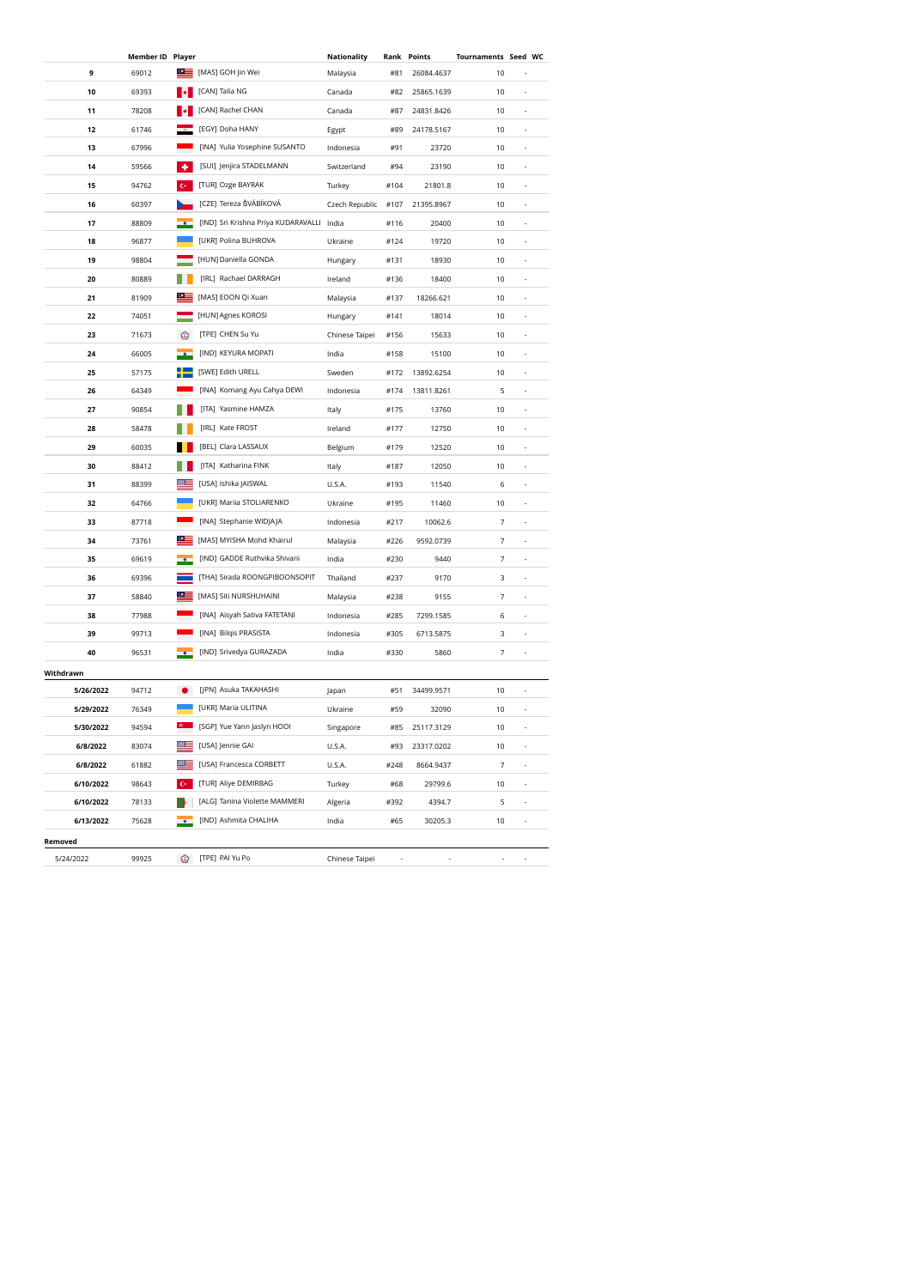|           | Member ID Player |                  |                                           | Nationality    | Rank | Points     | Tournaments Seed WC |                          |  |
|-----------|------------------|------------------|-------------------------------------------|----------------|------|------------|---------------------|--------------------------|--|
| 9         | 69012            | $\circ$ $\equiv$ | [MAS] GOH Jin Wei                         | Malaysia       | #81  | 26084.4637 | 10                  |                          |  |
| 10        | 69393            |                  | [CAN] Talia NG                            | Canada         | #82  | 25865.1639 | 10                  |                          |  |
| 11        | 78208            |                  | [CAN] Rachel CHAN                         | Canada         | #87  | 24831.8426 | 10                  |                          |  |
| 12        | 61746            |                  | [EGY] Doha HANY                           | Egypt          | #89  | 24178.5167 | 10                  |                          |  |
| 13        | 67996            |                  | [INA] Yulia Yosephine SUSANTO             | Indonesia      | #91  | 23720      | 10                  |                          |  |
| 14        | 59566            | ٠                | [SUI] Jenjira STADELMANN                  | Switzerland    | #94  | 23190      | 10                  |                          |  |
| 15        | 94762            | $\mathbf{C}^*$   | [TUR] Ozge BAYRAK                         | Turkey         | #104 | 21801.8    | 10                  |                          |  |
| 16        | 60397            |                  | [CZE] Tereza ŠVÁBÍKOVÁ                    | Czech Republic | #107 | 21395.8967 | 10                  | $\centerdot$             |  |
| 17        | 88809            |                  | [IND] Sri Krishna Priya KUDARAVALLI India |                | #116 | 20400      | 10                  | $\centerdot$             |  |
| 18        | 96877            |                  | [UKR] Polina BUHROVA                      | Ukraine        | #124 | 19720      | 10                  | ä,                       |  |
| 19        | 98804            |                  | [HUN] Daniella GONDA                      | Hungary        | #131 | 18930      | $10$                | ä,                       |  |
| 20        | 80889            |                  | [IRL] Rachael DARRAGH                     | Ireland        | #136 | 18400      | 10                  | ä,                       |  |
| 21        | 81909            | $\bullet$ :      | [MAS] EOON Qi Xuan                        | Malaysia       | #137 | 18266.621  | 10                  |                          |  |
| 22        | 74051            |                  | [HUN] Agnes KOROSI                        | Hungary        | #141 | 18014      | 10                  |                          |  |
| 23        | 71673            | ⊙                | [TPE] CHEN Su Yu                          | Chinese Taipei | #156 | 15633      | 10                  |                          |  |
| 24        | 66005            |                  | [IND] KEYURA MOPATI                       | India          | #158 | 15100      | 10                  |                          |  |
| 25        | 57175            |                  | [SWE] Edith URELL                         | Sweden         | #172 | 13892.6254 | 10                  |                          |  |
| 26        | 64349            |                  | [INA] Komang Ayu Cahya DEWI               | Indonesia      | #174 | 13811.8261 | 5                   |                          |  |
| 27        | 90854            |                  | [ITA] Yasmine HAMZA                       | Italy          | #175 | 13760      | 10                  |                          |  |
| 28        | 58478            |                  | [IRL] Kate FROST                          | Ireland        | #177 | 12750      | 10                  | $\frac{1}{2}$            |  |
| 29        | 60035            |                  | [BEL] Clara LASSAUX                       | Belgium        | #179 | 12520      | 10                  | $\overline{\phantom{a}}$ |  |
| 30        | 88412            |                  | [ITA] Katharina FINK                      | Italy          | #187 | 12050      | 10                  | $\overline{\phantom{a}}$ |  |
| 31        | 88399            |                  | [USA] Ishika JAISWAL                      | U.S.A.         | #193 | 11540      | 6                   | $\overline{\phantom{a}}$ |  |
| 32        | 64766            |                  | [UKR] Mariia STOLIARENKO                  | Ukraine        | #195 | 11460      | 10                  | ä,                       |  |
| 33        | 87718            |                  | [INA] Stephanie WIDJAJA                   | Indonesia      | #217 | 10062.6    | 7                   | ä,                       |  |
| 34        | 73761            | <u>⊙≣</u>        | [MAS] MYISHA Mohd Khairul                 | Malaysia       | #226 | 9592.0739  | 7                   |                          |  |
| 35        | 69619            |                  | [IND] GADDE Ruthvika Shivani              | India          | #230 | 9440       | 7                   |                          |  |
| 36        | 69396            |                  | [THA] Sirada ROONGPIBOONSOPIT             | Thailand       | #237 | 9170       | 3                   |                          |  |
| 37        | 58840            | $\bullet \equiv$ | [MAS] Siti NURSHUHAINI                    | Malaysia       | #238 | 9155       | 7                   |                          |  |
| 38        | 77988            |                  | [INA] Aisyah Sativa FATETANI              | Indonesia      | #285 | 7299.1585  | 6                   |                          |  |
| 39        | 99713            |                  | [INA] Bilqis PRASISTA                     | Indonesia      | #305 | 6713.5875  | 3                   |                          |  |
| 40        | 96531            |                  | [IND] Srivedya GURAZADA                   | India          | #330 | 5860       | 7                   |                          |  |
| Withdrawn |                  |                  |                                           |                |      |            |                     |                          |  |
| 5/26/2022 | 94712            |                  | [JPN] Asuka TAKAHASHI                     | Japan          | #51  | 34499.9571 | 10                  |                          |  |
| 5/29/2022 | 76349            |                  | [UKR] Maria ULITINA                       | Ukraine        | #59  | 32090      | 10                  |                          |  |
| 5/30/2022 | 94594            |                  | [SGP] Yue Yann Jaslyn HOOI                | Singapore      | #85  | 25117.3129 | 10                  |                          |  |
| 6/8/2022  | 83074            |                  | [USA] Jennie GAI                          | U.S.A.         | #93  | 23317.0202 | 10                  |                          |  |
| 6/8/2022  | 61882            |                  | [USA] Francesca CORBETT                   | U.S.A.         | #248 | 8664.9437  | 7                   | ä,                       |  |
| 6/10/2022 | 98643            |                  | [TUR] Aliye DEMIRBAG                      | Turkey         | #68  | 29799.6    | 10                  | ÷,                       |  |
| 6/10/2022 | 78133            |                  | [ALG] Tanina Violette MAMMERI             | Algeria        | #392 | 4394.7     | 5                   |                          |  |
| 6/13/2022 | 75628            |                  | [IND] Ashmita CHALIHA                     | India          | #65  | 30205.3    | 10                  |                          |  |
| Removed   |                  |                  |                                           |                |      |            |                     |                          |  |
| 5/24/2022 | 99925            |                  | <sup>2</sup> [TPE] PAI Yu Po              | Chinese Taipei |      |            |                     |                          |  |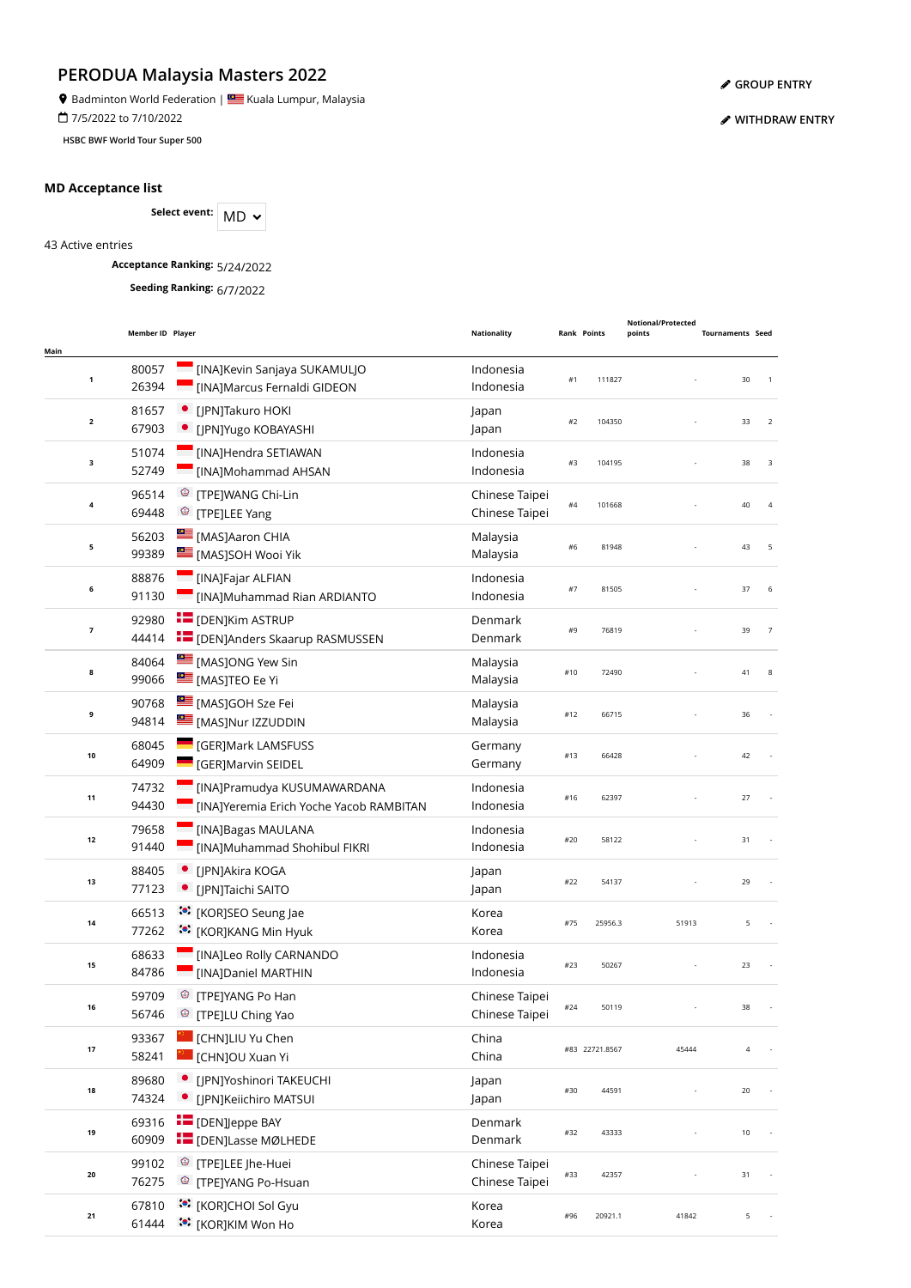**9** Badminton World Federation | **SALLA BU** Kuala Lumpur, Malaysia

7/5/2022 to 7/10/2022

**HSBC BWF World Tour Super 500**

### **MD Acceptance list**

Select event: MD  $\sim$ 

43 Active entries

**Acceptance Ranking:** 5/24/2022

**Seeding Ranking:** 6/7/2022

|              | Member ID Player |                                                                  | <b>Nationality</b>     | <b>Rank Points</b> |                | <b>Notional/Protected</b><br>points | <b>Tournaments Seed</b> |                |
|--------------|------------------|------------------------------------------------------------------|------------------------|--------------------|----------------|-------------------------------------|-------------------------|----------------|
| Main         |                  |                                                                  |                        |                    |                |                                     |                         |                |
|              | 80057            | [INA]Kevin Sanjaya SUKAMULJO                                     | Indonesia              |                    |                |                                     |                         | $\overline{1}$ |
| $\mathbf{1}$ | 26394            | [INA]Marcus Fernaldi GIDEON                                      | Indonesia              | #1                 | 111827         |                                     | 30                      |                |
| $\mathbf 2$  | 81657            | [JPN]Takuro HOKI                                                 | Japan                  | #2                 | 104350         |                                     | 33                      | $\sqrt{2}$     |
|              | 67903            | [JPN]Yugo KOBAYASHI                                              | Japan                  |                    |                |                                     |                         |                |
| з            | 51074            | [INA]Hendra SETIAWAN                                             | Indonesia              | #3                 | 104195         |                                     | 38                      | 3              |
|              | 52749            | [INA]Mohammad AHSAN                                              | Indonesia              |                    |                |                                     |                         |                |
| 4            | 96514            | <sup>©</sup> [TPE]WANG Chi-Lin                                   | Chinese Taipei         | #4                 | 101668         |                                     | 40                      | $\overline{4}$ |
|              | 69448            | <sup><sup>3</sup> [TPE]LEE Yang</sup>                            | Chinese Taipei         |                    |                |                                     |                         |                |
| 5            | 56203            | [MAS]Aaron CHIA                                                  | Malaysia               | #6                 | 81948          |                                     | 43                      | 5              |
|              | 99389            | [MAS]SOH Wooi Yik                                                | Malaysia               |                    |                |                                     |                         |                |
| 6            | 88876<br>91130   | [INA]Fajar ALFIAN                                                | Indonesia<br>Indonesia | #7                 | 81505          |                                     | 37                      | 6              |
|              |                  | [INA]Muhammad Rian ARDIANTO                                      |                        |                    |                |                                     |                         |                |
| 7            | 92980<br>44414   | <b>E</b> [DEN]Kim ASTRUP<br><b>EDENJAnders Skaarup RASMUSSEN</b> | Denmark<br>Denmark     | #9                 | 76819          |                                     | 39                      | $\overline{7}$ |
|              |                  |                                                                  |                        |                    |                |                                     |                         |                |
| 8            | 84064<br>99066   | <b>EXAMPLE [MAS]ONG Yew Sin</b><br>MASJTEO Ee Yi                 | Malaysia<br>Malaysia   | #10                | 72490          |                                     | 41                      | 8              |
|              |                  | [MAS]GOH Sze Fei                                                 |                        |                    |                |                                     |                         |                |
| 9            | 90768<br>94814   | [MAS]Nur IZZUDDIN                                                | Malaysia<br>Malaysia   | #12                | 66715          |                                     | 36                      |                |
|              | 68045            | <b>GERJMark LAMSFUSS</b>                                         | Germany                |                    |                |                                     |                         |                |
| 10           | 64909            | [GER]Marvin SEIDEL                                               | Germany                | #13                | 66428          |                                     | 42                      |                |
|              | 74732            | [INA]Pramudya KUSUMAWARDANA                                      | Indonesia              |                    |                |                                     |                         |                |
| 11           | 94430            | [INA]Yeremia Erich Yoche Yacob RAMBITAN                          | Indonesia              | #16                | 62397          |                                     | 27                      |                |
|              | 79658            | <b>IMA]Bagas MAULANA</b>                                         | Indonesia              |                    |                |                                     |                         |                |
| 12           | 91440            | [INA]Muhammad Shohibul FIKRI                                     | Indonesia              | #20                | 58122          |                                     | 31                      |                |
|              | 88405            | [JPN]Akira KOGA                                                  | Japan                  |                    |                |                                     |                         |                |
| 13           | 77123            | • [JPN]Taichi SAITO                                              | Japan                  | #22                | 54137          |                                     | 29                      |                |
|              | 66513            | :• [KOR]SEO Seung Jae                                            | Korea                  |                    |                |                                     |                         |                |
| 14           | 77262            | :•: [KOR]KANG Min Hyuk                                           | Korea                  | #75                | 25956.3        | 51913                               | 5                       |                |
|              | 68633            | <b>Example 1</b> [INA]Leo Rolly CARNANDO                         | Indonesia              |                    |                |                                     |                         |                |
| 15           | 84786            | [INA]Daniel MARTHIN                                              | Indonesia              | #23                | 50267          |                                     | 23                      |                |
|              | 59709            | <sup>©</sup> [TPE]YANG Po Han                                    | Chinese Taipei         |                    |                |                                     |                         |                |
| 16           | 56746            | <sup>©</sup> [TPE]LU Ching Yao                                   | Chinese Taipei         | #24                | 50119          |                                     | 38                      |                |
|              | 93367            | [CHN]LIU Yu Chen                                                 | China                  |                    | #83 22721.8567 |                                     | $\overline{4}$          |                |
| 17           | 58241            | [CHN]OU Xuan Yi                                                  | China                  |                    |                | 45444                               |                         |                |
|              | 89680            | [JPN]Yoshinori TAKEUCHI                                          | Japan                  | #30                | 44591          |                                     | $20\,$                  |                |
| 18           | 74324            | [JPN]Keiichiro MATSUI<br>Ξ.                                      | Japan                  |                    |                |                                     |                         |                |
|              | 69316            | <b>T</b> [DEN]Jeppe BAY                                          | Denmark                |                    | 43333          |                                     | 10                      |                |
| 19           | 60909            | <b>E</b> [DEN]Lasse MØLHEDE                                      | Denmark                | #32                |                |                                     |                         |                |
| 20           | 99102            | <sup>©</sup> [TPE]LEE Jhe-Huei                                   | Chinese Taipei         | #33                | 42357          |                                     | 31                      |                |
|              | 76275            | <sup><sup>®</sup> [TPE]YANG Po-Hsuan</sup>                       | Chinese Taipei         |                    |                |                                     |                         |                |
| 21           | 67810            | <b>©</b> [KOR]CHOI Sol Gyu                                       | Korea                  | #96                | 20921.1        | 41842                               | 5                       |                |
|              | 61444            | ं• [KOR]KIM Won Ho                                               | Korea                  |                    |                |                                     |                         |                |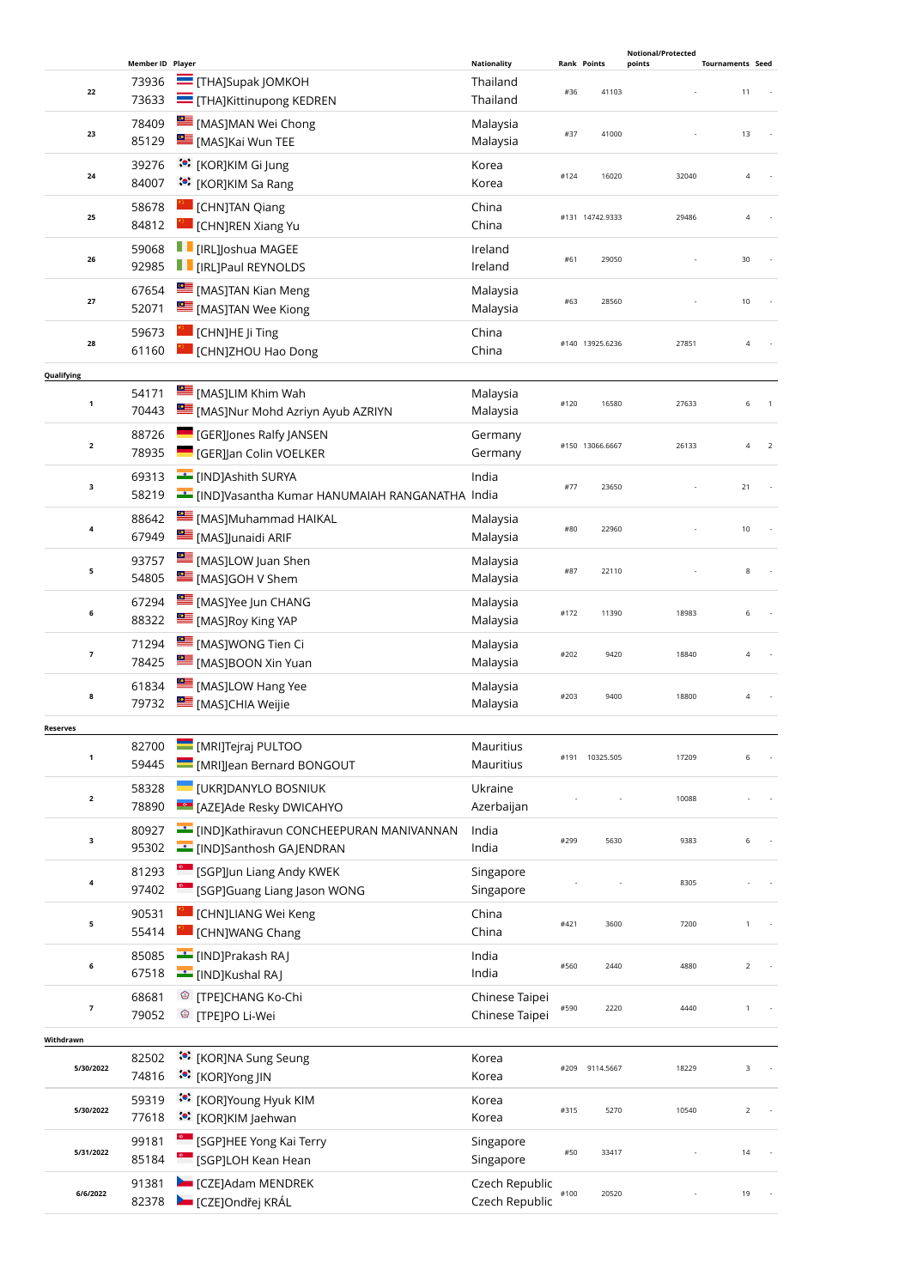|                         |                  |                                                                                     |                                  |      |                    | <b>Notional/Protected</b> |                                  |  |
|-------------------------|------------------|-------------------------------------------------------------------------------------|----------------------------------|------|--------------------|---------------------------|----------------------------------|--|
|                         | Member ID Player |                                                                                     | <b>Nationality</b>               |      | <b>Rank Points</b> | points                    | <b>Tournaments Seed</b>          |  |
| 22                      | 73936<br>73633   | <b>THAJSupak JOMKOH</b><br><b>THAJKittinupong KEDREN</b>                            | Thailand<br>Thailand             | #36  | 41103              |                           | 11                               |  |
| 23                      | 78409<br>85129   | MASJMAN Wei Chong<br>[MAS]Kai Wun TEE                                               | Malaysia<br>Malaysia             | #37  | 41000              |                           | 13                               |  |
| 24                      | 39276<br>84007   | <b><sup>to</sup>:</b> [KOR]KIM Gi Jung<br>:• [KOR]KIM Sa Rang                       | Korea<br>Korea                   | #124 | 16020              | 32040                     | $\overline{4}$                   |  |
| 25                      | 58678<br>84812   | <b>CHNJTAN Qiang</b><br>CHNJREN Xiang Yu                                            | China<br>China                   |      | #131 14742.9333    | 29486                     | $\overline{4}$                   |  |
| 26                      | 59068<br>92985   | <b>F</b> [IRL]Joshua MAGEE<br><b>F</b> [IRL]Paul REYNOLDS                           | Ireland<br>Ireland               | #61  | 29050              |                           | 30                               |  |
| 27                      | 67654<br>52071   | [MAS]TAN Kian Meng<br>MASJTAN Wee Kiong                                             | Malaysia<br>Malaysia             | #63  | 28560              |                           | 10                               |  |
| 28                      | 59673<br>61160   | <b>CHN</b> ]HE Ji Ting<br><b>CHNJZHOU Hao Dong</b>                                  | China<br>China                   |      | #140 13925.6236    | 27851                     | $\overline{4}$                   |  |
| Qualifying              |                  |                                                                                     |                                  |      |                    |                           |                                  |  |
| $\mathbf{1}$            | 54171<br>70443   | [MAS]LIM Khim Wah<br>[MAS]Nur Mohd Azriyn Ayub AZRIYN                               | Malaysia<br>Malaysia             | #120 | 16580              | 27633                     | 6                                |  |
| $\overline{\mathbf{2}}$ | 88726<br>78935   | <b>GER]Jones Ralfy JANSEN</b><br><b>GER]Jan Colin VOELKER</b>                       | Germany<br>Germany               |      | #150 13066.6667    | 26133                     | $\overline{4}$<br>$\overline{2}$ |  |
| 3                       | 69313<br>58219   | <b>ED</b> [IND]Ashith SURYA<br>EIND]Vasantha Kumar HANUMAIAH RANGANATHA India       | India                            | #77  | 23650              |                           | 21                               |  |
| 4                       | 88642<br>67949   | MASJMuhammad HAIKAL<br>[MAS]Junaidi ARIF                                            | Malaysia<br>Malaysia             | #80  | 22960              |                           | 10                               |  |
| 5                       | 93757<br>54805   | [MAS]LOW Juan Shen<br>[MAS]GOH V Shem                                               | Malaysia<br>Malaysia             | #87  | 22110              |                           | 8                                |  |
| 6                       | 67294<br>88322   | MASJYee Jun CHANG<br>[MAS]Roy King YAP                                              | Malaysia<br>Malaysia             | #172 | 11390              | 18983                     | 6                                |  |
| $\overline{7}$          | 71294<br>78425   | <b>EMASIWONG Tien Ci</b><br>[MAS]BOON Xin Yuan                                      | Malaysia<br>Malaysia             | #202 | 9420               | 18840                     | 4                                |  |
| 8                       | 61834<br>79732   | <b>EMASJLOW Hang Yee</b><br><b>EMASJCHIA Weijie</b>                                 | Malaysia<br>Malaysia             | #203 | 9400               | 18800                     | $\overline{4}$                   |  |
| <b>Reserves</b>         |                  |                                                                                     |                                  |      |                    |                           |                                  |  |
| 1                       | 82700<br>59445   | MRIJTejraj PULTOO<br>[MRI]Jean Bernard BONGOUT                                      | Mauritius<br>Mauritius           | #191 | 10325.505          | 17209                     | 6                                |  |
| $\overline{\mathbf{2}}$ | 58328<br>78890   | <b>UKRJDANYLO BOSNIUK</b><br><b>EGO</b> [AZE]Ade Resky DWICAHYO                     | Ukraine<br>Azerbaijan            |      |                    | 10088                     |                                  |  |
| 3                       | 80927<br>95302   | EIND]Kathiravun CONCHEEPURAN MANIVANNAN<br><b>Example 1</b> [IND]Santhosh GAJENDRAN | India<br>India                   | #299 | 5630               | 9383                      | 6                                |  |
| 4                       | 81293<br>97402   | [SGP]Jun Liang Andy KWEK<br>[SGP]Guang Liang Jason WONG                             | Singapore<br>Singapore           |      |                    | 8305                      |                                  |  |
| 5                       | 90531<br>55414   | [CHN]LIANG Wei Keng<br>[CHN]WANG Chang                                              | China<br>China                   | #421 | 3600               | 7200                      |                                  |  |
| 6                       | 85085<br>67518   | [IND]Prakash RAJ<br>[IND]Kushal RAJ                                                 | India<br>India                   | #560 | 2440               | 4880                      | $\overline{2}$                   |  |
| $\overline{7}$          | 68681<br>79052   | <sup>®</sup> [TPE]CHANG Ko-Chi<br><sup>®</sup> [TPE]PO Li-Wei                       | Chinese Taipei<br>Chinese Taipei | #590 | 2220               | 4440                      | $\mathbf{1}$                     |  |
| Withdrawn               |                  |                                                                                     |                                  |      |                    |                           |                                  |  |
| 5/30/2022               | 82502<br>74816   | :•: [KOR]NA Sung Seung<br>:•: [KOR]Yong JIN                                         | Korea<br>Korea                   | #209 | 9114.5667          | 18229                     | 3                                |  |
| 5/30/2022               | 59319<br>77618   | <b>**</b> [KOR]Young Hyuk KIM<br>:• [KOR]KIM Jaehwan                                | Korea<br>Korea                   | #315 | 5270               | 10540                     | $\overline{2}$                   |  |
| 5/31/2022               | 99181<br>85184   | <sup>6</sup> [SGP]HEE Yong Kai Terry<br><sup>e</sup> [SGP]LOH Kean Hean             | Singapore<br>Singapore           | #50  | 33417              |                           | 14                               |  |
| 6/6/2022                | 91381<br>82378   | CZEJAdam MENDREK<br>CZEJOndřej KRÁL                                                 | Czech Republic<br>Czech Republic | #100 | 20520              |                           | 19                               |  |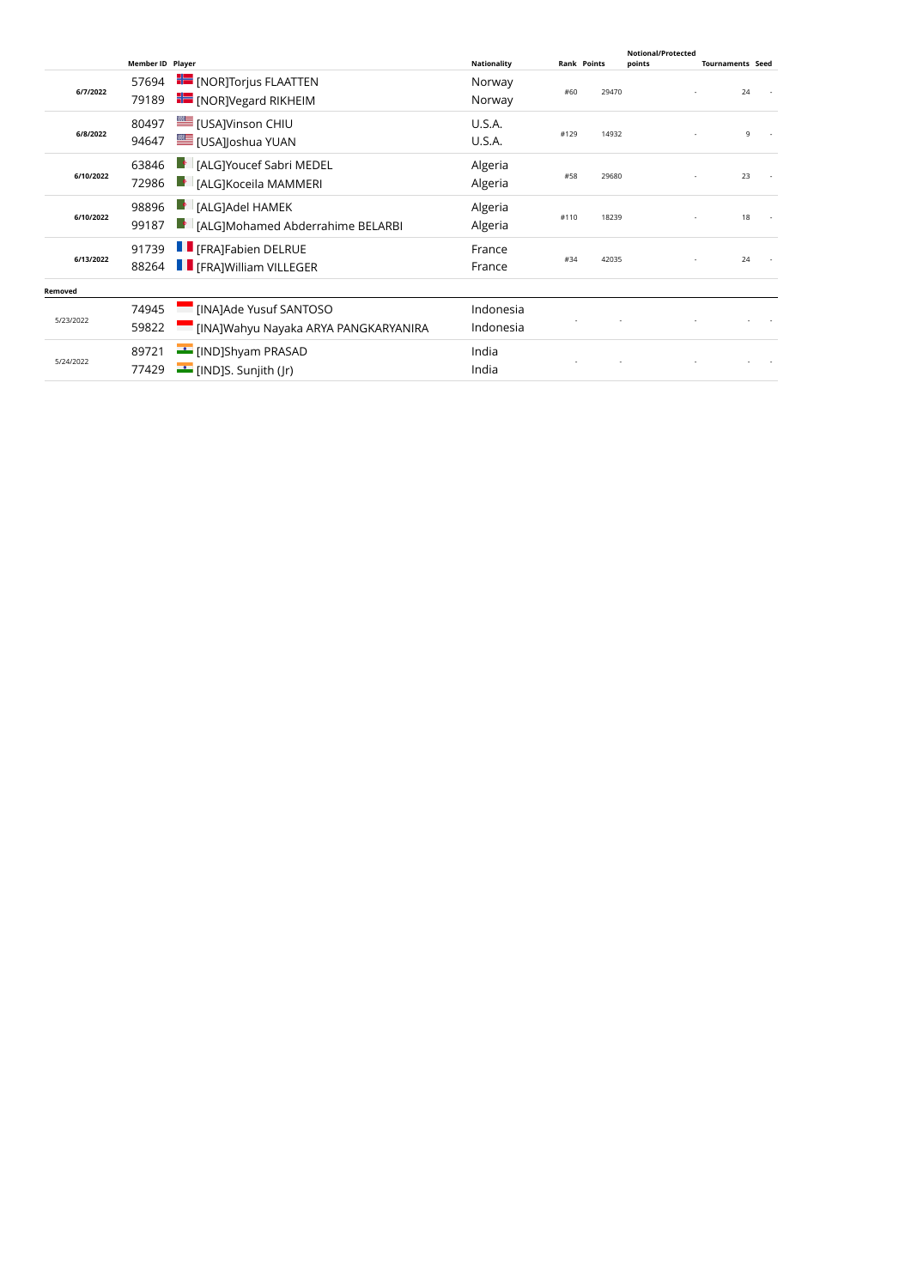|           | <b>Member ID Player</b> |                                                 | <b>Nationality</b> | <b>Rank Points</b> |       | Notional/Protected<br>points | <b>Tournaments Seed</b> |  |
|-----------|-------------------------|-------------------------------------------------|--------------------|--------------------|-------|------------------------------|-------------------------|--|
|           | 57694                   | <b>FE</b> [NOR]Torjus FLAATTEN                  | Norway             |                    |       |                              |                         |  |
| 6/7/2022  | 79189                   | <b>For</b> [NOR]Vegard RIKHEIM                  | Norway             | #60                | 29470 |                              | 24                      |  |
|           | 80497                   | USAJVinson CHIU                                 | U.S.A.             |                    |       |                              |                         |  |
| 6/8/2022  | 94647                   | E [USA]Joshua YUAN                              | U.S.A.             | #129               | 14932 |                              | 9                       |  |
|           | 63846                   | <b>F</b> [ALG]Youcef Sabri MEDEL                | Algeria            |                    |       |                              |                         |  |
| 6/10/2022 | 72986                   | $\blacksquare$ : [ALG]Koceila MAMMERI           | Algeria            | #58                | 29680 |                              | 23                      |  |
| 6/10/2022 | 98896                   | $\blacktriangleright$ [ALG]Adel HAMEK           | Algeria            |                    |       |                              |                         |  |
|           | 99187                   | $\blacksquare$ [ALG]Mohamed Abderrahime BELARBI | Algeria            | #110               | 18239 |                              | 18                      |  |
|           | 91739                   | <b>F</b> [FRA]Fabien DELRUE                     | France             |                    |       |                              |                         |  |
| 6/13/2022 | 88264                   | <b>F</b> FRAIWilliam VILLEGER                   | France             | #34                | 42035 |                              | 24                      |  |
| Removed   |                         |                                                 |                    |                    |       |                              |                         |  |
|           | 74945                   | [INA]Ade Yusuf SANTOSO                          | Indonesia          |                    |       |                              |                         |  |
| 5/23/2022 | 59822                   | [INA]Wahyu Nayaka ARYA PANGKARYANIRA            | Indonesia          |                    |       |                              |                         |  |
| 5/24/2022 | 89721                   | [IND]Shyam PRASAD                               | India              |                    |       |                              |                         |  |
|           | 77429                   | $\equiv$ [IND]S. Sunjith (Jr)                   | India              |                    |       |                              |                         |  |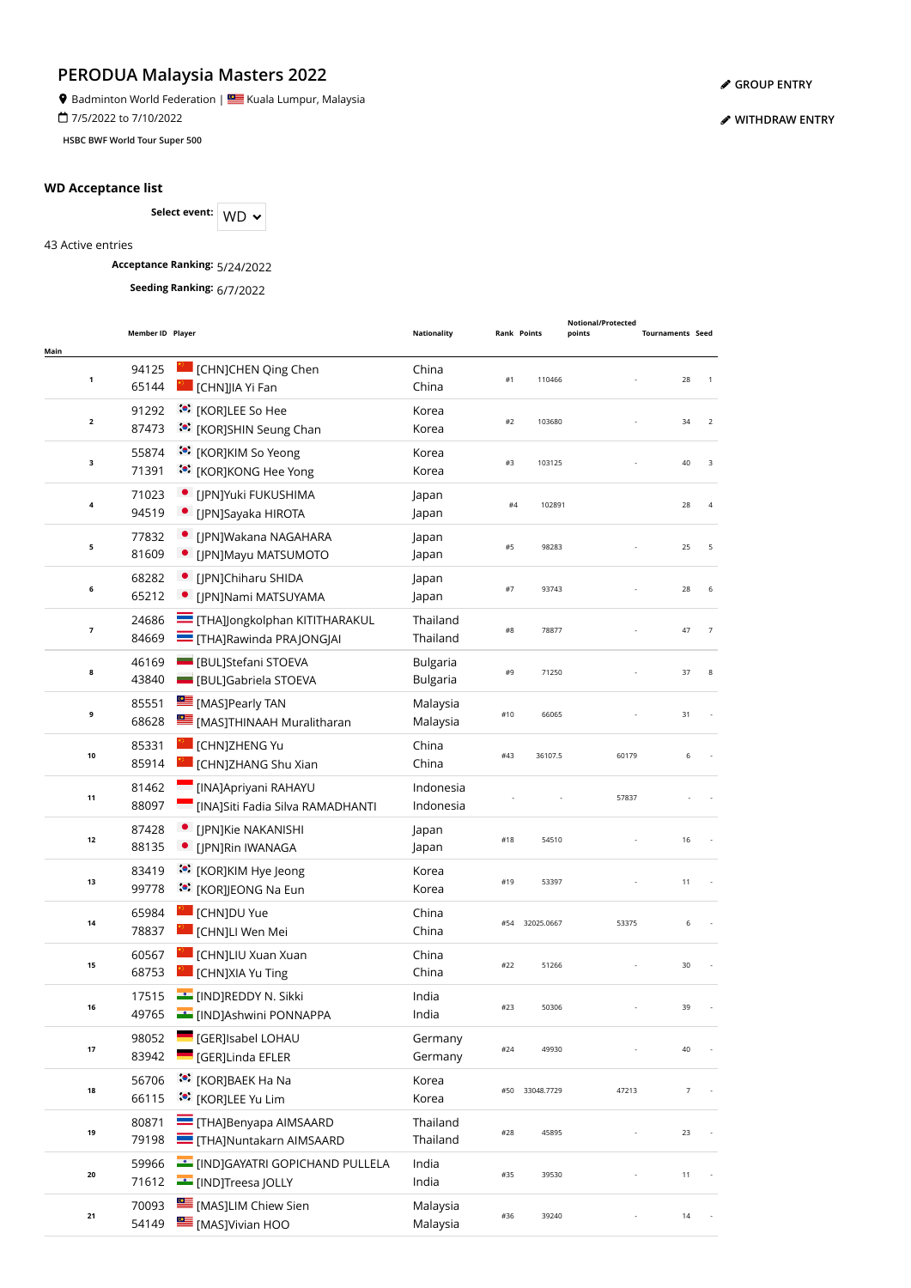9 Badminton World Federation | Stalla Lumpur, Malaysia

7/5/2022 to 7/10/2022

**HSBC BWF World Tour Super 500**

### **WD Acceptance list**

Select event: WD  $\sim$ 

43 Active entries

**Acceptance Ranking:** 5/24/2022

**Seeding Ranking:** 6/7/2022

| Main           | Member ID Player |                                                                           | <b>Nationality</b>                 |       | <b>Rank Points</b> | <b>Notional/Protected</b><br>points | <b>Tournaments Seed</b> |                |
|----------------|------------------|---------------------------------------------------------------------------|------------------------------------|-------|--------------------|-------------------------------------|-------------------------|----------------|
| 1              | 94125<br>65144   | [CHN]CHEN Qing Chen<br>[CHN]JIA Yi Fan                                    | China<br>China                     | #1    | 110466             |                                     | 28                      | 1              |
| $\mathbf{2}$   | 91292<br>87473   | :•: [KOR]LEE So Hee<br>:•: [KOR]SHIN Seung Chan                           | Korea<br>Korea                     | #2    | 103680             |                                     | 34                      | $\overline{2}$ |
| 3              | 55874<br>71391   | :• [KOR]KIM So Yeong<br>:•: [KOR]KONG Hee Yong                            | Korea<br>Korea                     | #3    | 103125             |                                     | 40                      | 3              |
| 4              | 71023<br>94519   | · [JPN]Yuki FUKUSHIMA<br>• [JPN]Sayaka HIROTA                             | Japan<br>Japan                     | $\#4$ | 102891             |                                     | 28                      | 4              |
| 5              | 77832<br>81609   | • [JPN]Wakana NAGAHARA<br>• [JPN]Mayu MATSUMOTO                           | Japan<br>Japan                     | #5    | 98283              |                                     | 25                      | 5              |
| 6              | 68282<br>65212   | • [JPN]Chiharu SHIDA<br>• [JPN]Nami MATSUYAMA                             | Japan<br>Japan                     | #7    | 93743              |                                     | 28                      | 6              |
| $\overline{7}$ | 24686<br>84669   | <b>THA]Jongkolphan KITITHARAKUL</b><br><b>THA]Rawinda PRAJONGJAI</b>      | Thailand<br>Thailand               | #8    | 78877              |                                     | 47                      | $\overline{7}$ |
| 8              | 46169<br>43840   | <b>BUL</b> ]Stefani STOEVA<br><b>BULJGabriela STOEVA</b>                  | <b>Bulgaria</b><br><b>Bulgaria</b> | #9    | 71250              |                                     | 37                      | 8              |
| 9              | 85551<br>68628   | <b>EXECUTE:</b> [MAS]Pearly TAN<br>[MAS]THINAAH Muralitharan              | Malaysia<br>Malaysia               | #10   | 66065              |                                     | 31                      |                |
| 10             | 85331<br>85914   | [CHN]ZHENG Yu<br>[CHN]ZHANG Shu Xian                                      | China<br>China                     | #43   | 36107.5            | 60179                               | 6                       |                |
| 11             | 81462<br>88097   | [INA]Apriyani RAHAYU<br><b>Example 15 INAJSiti Fadia Silva RAMADHANTI</b> | Indonesia<br>Indonesia             |       |                    | 57837                               |                         |                |
| 12             | 87428<br>88135   | [JPN]Kie NAKANISHI<br>· [JPN]Rin IWANAGA                                  | Japan<br>Japan                     | #18   | 54510              |                                     | 16                      |                |
| 13             | 83419<br>99778   | :•: [KOR]KIM Hye Jeong<br>:•: [KOR]JEONG Na Eun                           | Korea<br>Korea                     | #19   | 53397              |                                     | 11                      |                |
| 14             | 65984<br>78837   | [CHN]DU Yue<br>[CHN]Ll Wen Mei                                            | China<br>China                     | #54   | 32025.0667         | 53375                               | 6                       |                |
| 15             | 60567<br>68753   | [CHN]LIU Xuan Xuan<br>[CHN]XIA Yu Ting                                    | China<br>China                     | #22   | 51266              |                                     | 30                      |                |
| 16             | 17515<br>49765   | <b>EXAMPLE TERMINE DELA TELEVISION</b> N. Sikki<br>[IND]Ashwini PONNAPPA  | India<br>India                     |       |                    |                                     |                         |                |
| 17             | 98052<br>83942   | [GER]Isabel LOHAU<br>[GER]Linda EFLER                                     | Germany<br>Germany                 | #24   | 49930              |                                     | 40                      |                |
| 18             | 56706<br>66115   | © [KOR]BAEK Ha Na<br>:• [KOR]LEE Yu Lim                                   | Korea<br>Korea                     | #50   | 33048.7729         | 47213                               | $\overline{7}$          |                |
| 19             | 80871<br>79198   | <b>THA]Benyapa AIMSAARD</b><br><b>THA]Nuntakarn AIMSAARD</b>              | Thailand<br>Thailand               | #28   | 45895              |                                     | 23                      |                |
| 20             | 59966<br>71612   | [IND]GAYATRI GOPICHAND PULLELA<br>[IND]Treesa JOLLY                       | India<br>India                     | #35   | 39530              |                                     | 11                      |                |
| 21             | 70093<br>54149   | [MAS]LIM Chiew Sien<br>[MAS]Vivian HOO                                    | Malaysia<br>Malaysia               | #36   | 39240              |                                     | 14                      |                |

**[GROUP ENTRY](https://bwf.tournamentsoftware.com/individual-entry/EE44BEB4-66E3-4303-A3FB-2445388DDEF4)**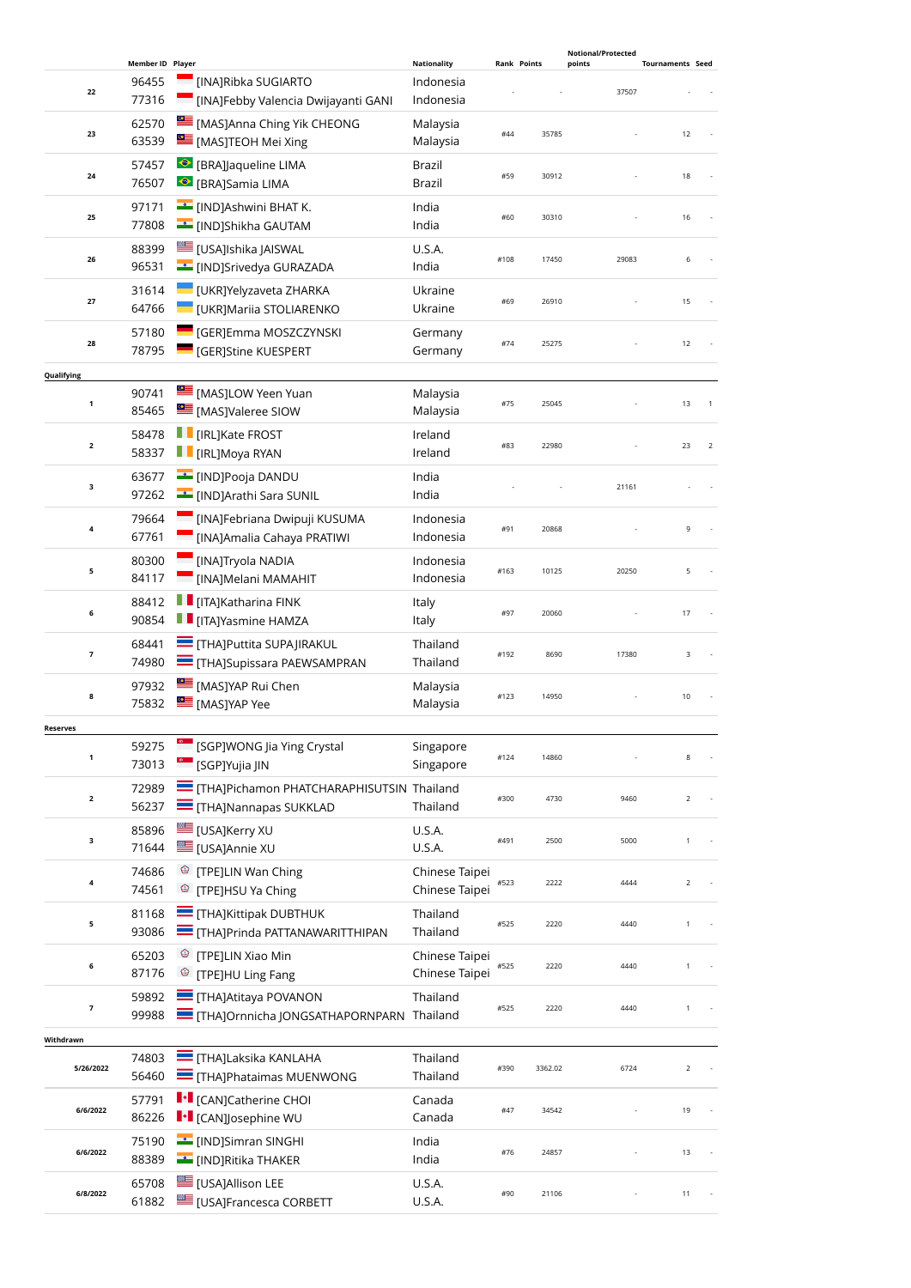|                          |                  |                                                                              |                                  |      |                    | Notional/Protected |                         |
|--------------------------|------------------|------------------------------------------------------------------------------|----------------------------------|------|--------------------|--------------------|-------------------------|
|                          | Member ID Player |                                                                              | <b>Nationality</b>               |      | <b>Rank Points</b> | points             | <b>Tournaments Seed</b> |
| 22                       | 96455<br>77316   | [INA]Ribka SUGIARTO<br>[INA]Febby Valencia Dwijayanti GANI                   | Indonesia<br>Indonesia           |      |                    | 37507              |                         |
|                          | 62570            | [MAS]Anna Ching Yik CHEONG                                                   | Malaysia                         |      |                    |                    |                         |
| 23                       | 63539            | [MAS]TEOH Mei Xing                                                           | Malaysia                         | #44  | 35785              |                    | 12                      |
|                          | 57457            | ● [BRA]Jaqueline LIMA                                                        | Brazil                           |      |                    |                    |                         |
| 24                       | 76507            | ● [BRA]Samia LIMA                                                            | Brazil                           | #59  | 30912              |                    | 18                      |
|                          | 97171            | E [IND]Ashwini BHAT K.                                                       | India                            |      |                    |                    |                         |
| 25                       | 77808            | <b>Example 15</b> [IND]Shikha GAUTAM                                         | India                            | #60  | 30310              |                    | 16                      |
|                          | 88399            | [USA]Ishika JAISWAL                                                          | U.S.A.                           | #108 | 17450              | 29083              | 6                       |
| 26                       | 96531            | <b>EXECUTE: LINDJSrivedya GURAZADA</b>                                       | India                            |      |                    |                    |                         |
| 27                       | 31614            | UKR]Yelyzaveta ZHARKA                                                        | Ukraine                          | #69  | 26910              |                    | 15                      |
|                          | 64766            | UKR]Mariia STOLIARENKO                                                       | Ukraine                          |      |                    |                    |                         |
| 28                       | 57180            | [GER]Emma MOSZCZYNSKI                                                        | Germany                          | #74  | 25275              |                    | 12                      |
|                          | 78795            | <b>GER]Stine KUESPERT</b>                                                    | Germany                          |      |                    |                    |                         |
| Qualifying               |                  |                                                                              |                                  |      |                    |                    |                         |
| $\mathbf{1}$             | 90741            | MASJLOW Yeen Yuan                                                            | Malaysia                         | #75  | 25045              |                    | 13                      |
|                          | 85465            | [MAS]Valeree SIOW                                                            | Malaysia                         |      |                    |                    |                         |
| $\overline{\mathbf{2}}$  | 58478            | <b>F</b> [IRL]Kate FROST                                                     | Ireland                          | #83  | 22980              |                    | 23<br>$\overline{2}$    |
|                          | 58337            | <b>F</b> [IRL]Moya RYAN                                                      | Ireland                          |      |                    |                    |                         |
| 3                        | 63677            | <b>Example 19</b> [IND]Pooja DANDU                                           | India                            |      |                    | 21161              |                         |
|                          | 97262            | <b>Example 19</b> [IND]Arathi Sara SUNIL                                     | India                            |      |                    |                    |                         |
| 4                        | 79664            | [INA]Febriana Dwipuji KUSUMA                                                 | Indonesia                        | #91  | 20868              |                    | 9                       |
|                          | 67761            | [INA]Amalia Cahaya PRATIWI                                                   | Indonesia                        |      |                    |                    |                         |
| 5                        | 80300            | [INA]Tryola NADIA                                                            | Indonesia                        | #163 | 10125              | 20250              | 5                       |
|                          | 84117            | [INA]Melani MAMAHIT                                                          | Indonesia                        |      |                    |                    |                         |
| 6                        | 88412            | $\blacksquare$ [ITA]Katharina FINK                                           | Italy                            | #97  | 20060              |                    | 17                      |
|                          | 90854            | <b>TE</b> [ITA]Yasmine HAMZA                                                 | Italy                            |      |                    |                    |                         |
| $\overline{\phantom{a}}$ | 68441            | <b>THAJPuttita SUPAJIRAKUL</b>                                               | Thailand                         | #192 | 8690               | 17380              | 3                       |
|                          | 74980            | <b>THAJSupissara PAEWSAMPRAN</b>                                             | Thailand                         |      |                    |                    |                         |
| 8                        | 97932            | [MAS]YAP Rui Chen                                                            | Malaysia                         | #123 | 14950              |                    | 10                      |
|                          | 75832            | MASJYAP Yee                                                                  | Malaysia                         |      |                    |                    |                         |
| <b>Reserves</b>          |                  |                                                                              |                                  |      |                    |                    |                         |
| 1                        | 59275<br>73013   | [SGP]WONG Jia Ying Crystal<br><sup>6</sup> [SGP]Yujia JIN                    | Singapore<br>Singapore           | #124 | 14860              |                    | 8                       |
|                          |                  |                                                                              |                                  |      |                    |                    |                         |
| $\overline{\mathbf{2}}$  | 72989<br>56237   | THAJPichamon PHATCHARAPHISUTSIN Thailand<br><b>THA]Nannapas SUKKLAD</b>      | Thailand                         | #300 | 4730               | 9460               | $\overline{2}$          |
|                          |                  |                                                                              |                                  |      |                    |                    |                         |
| 3                        | 85896<br>71644   | E [USA]Kerry XU<br>EUSA]Annie XU                                             | U.S.A.<br>U.S.A.                 | #491 | 2500               | 5000               | $\mathbf{1}$            |
|                          |                  |                                                                              |                                  |      |                    |                    |                         |
| 4                        | 74686<br>74561   | <sup><sup>3</sup> [TPE]LIN Wan Ching</sup><br><sup>©</sup> [TPE]HSU Ya Ching | Chinese Taipei<br>Chinese Taipei | #523 | 2222               | 4444               | $\overline{2}$          |
|                          |                  |                                                                              |                                  |      |                    |                    |                         |
| 5                        | 81168<br>93086   | THA]Kittipak DUBTHUK<br>THAJPrinda PATTANAWARITTHIPAN                        | Thailand<br>Thailand             | #525 | 2220               | 4440               | 1                       |
|                          | 65203            | <sup><sup>3</sup> [TPE]LIN Xiao Min</sup>                                    |                                  |      |                    |                    |                         |
| 6                        | 87176            | <sup>©</sup> [TPE]HU Ling Fang                                               | Chinese Taipei<br>Chinese Taipei | #525 | 2220               | 4440               | 1                       |
|                          |                  | <b>THAJAtitaya POVANON</b>                                                   |                                  |      |                    |                    |                         |
| 7                        | 59892<br>99988   | THAJOrnnicha JONGSATHAPORNPARN Thailand                                      | Thailand                         | #525 | 2220               | 4440               | 1                       |
|                          |                  |                                                                              |                                  |      |                    |                    |                         |
| Withdrawn                | 74803            | <b>E</b> [THA]Laksika KANLAHA                                                | Thailand                         |      |                    |                    |                         |
| 5/26/2022                | 56460            | <b>THAJPhataimas MUENWONG</b>                                                | Thailand                         | #390 | 3362.02            | 6724               | $\overline{2}$          |
|                          | 57791            | <b>I</b> • [CAN]Catherine CHOI                                               | Canada                           |      |                    |                    |                         |
| 6/6/2022                 | 86226            | <b>I</b> • [CAN]Josephine WU                                                 | Canada                           | #47  | 34542              |                    | 19                      |
|                          | 75190            | [IND]Simran SINGHI                                                           | India                            |      |                    |                    |                         |
| 6/6/2022                 | 88389            | <b>EXAMPLE THAKER</b>                                                        | India                            | #76  | 24857              |                    | 13                      |
|                          | 65708            | [USA]Allison LEE                                                             | U.S.A.                           |      |                    |                    |                         |
| 6/8/2022                 | 61882            | <b>LE [USA]Francesca CORBETT</b>                                             | U.S.A.                           | #90  | 21106              |                    | 11                      |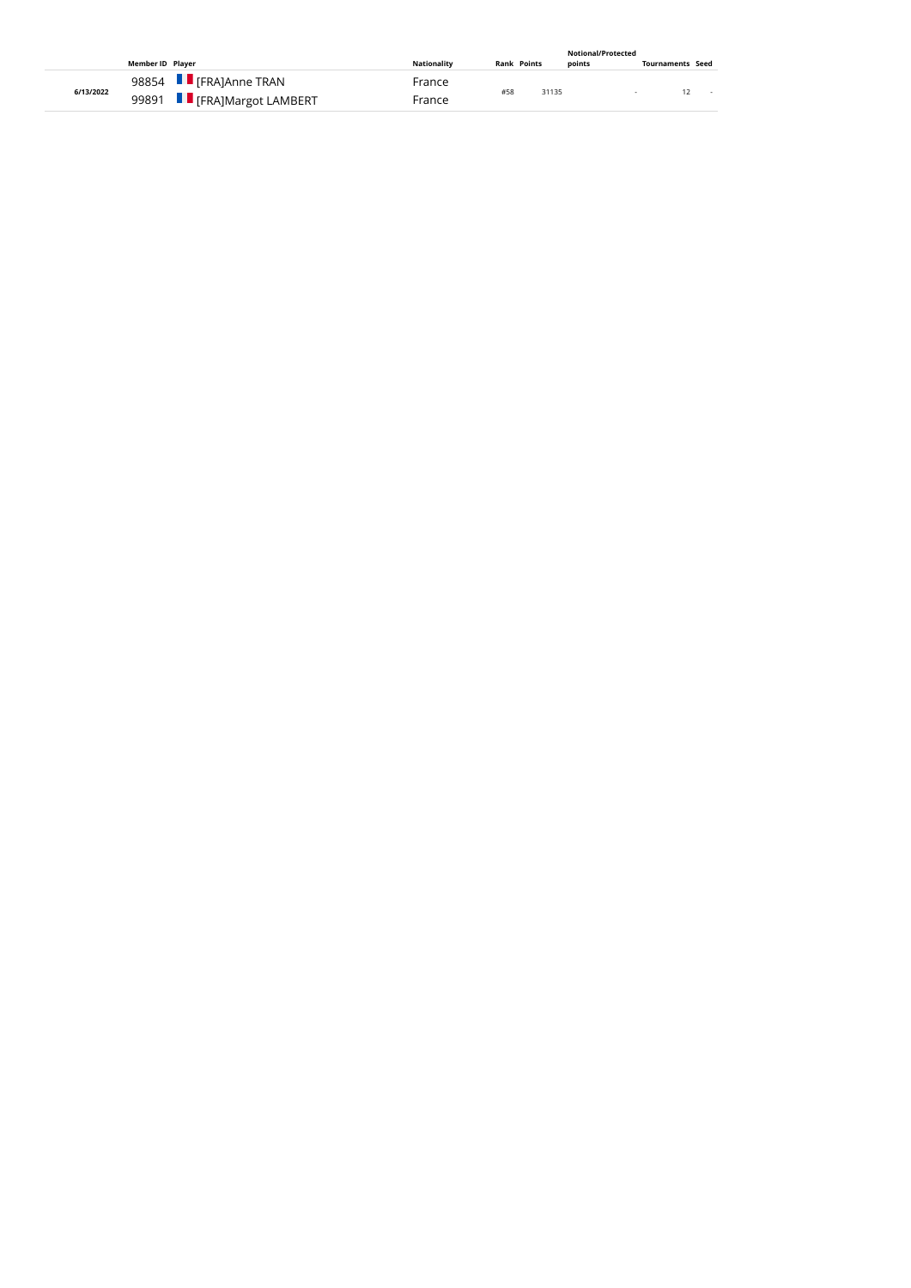| Member ID Player |                                                       | <b>Nationality</b> | <b>Rank Points</b> | points | <b>Tournaments Seed</b> |
|------------------|-------------------------------------------------------|--------------------|--------------------|--------|-------------------------|
| 6/13/2022        | 98854 F [FRA]Anne TRAN<br>99891 F [FRA]Margot LAMBERT | France<br>France   | #58                | 31135  | $\sim$                  |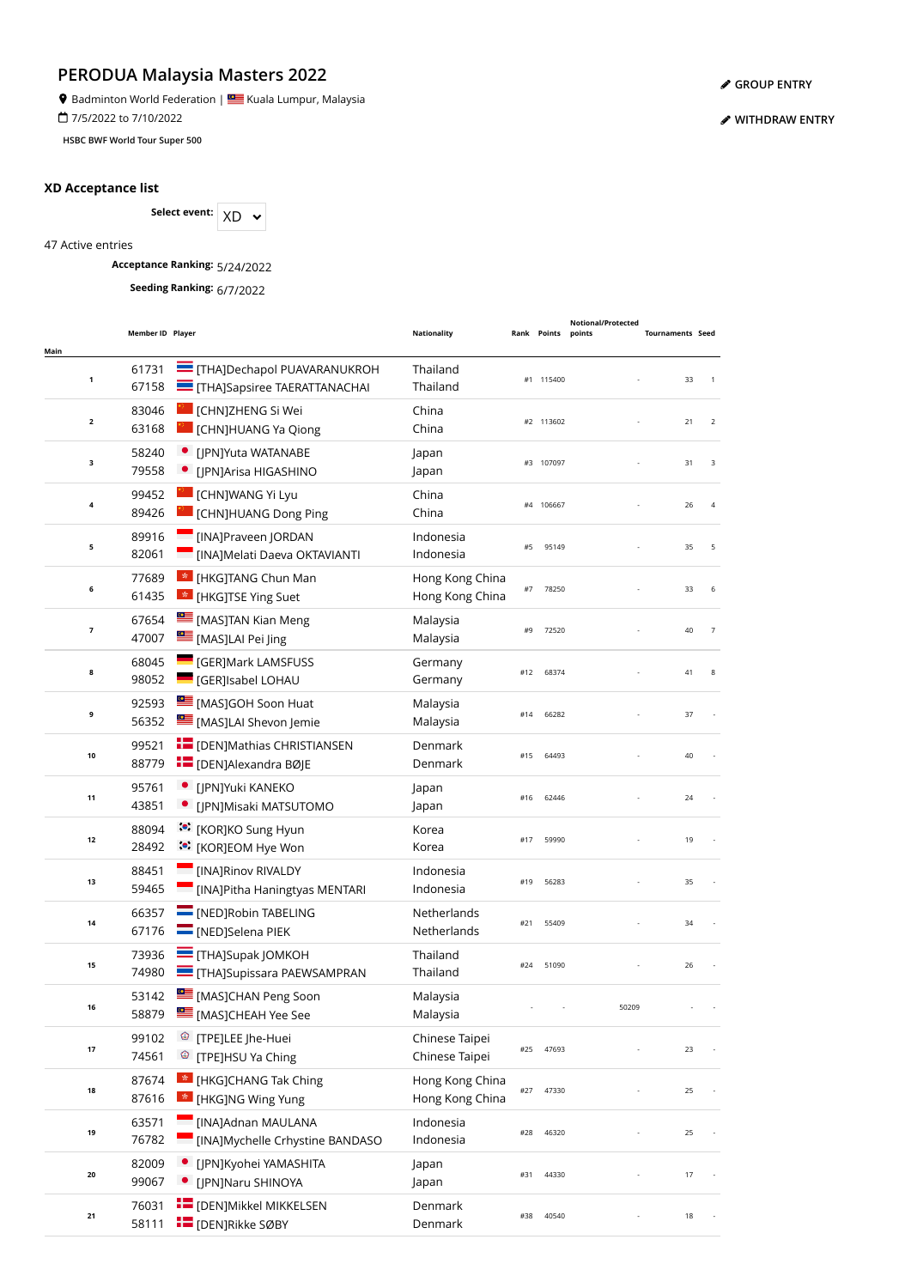**9** Badminton World Federation | **SALLA BU** Kuala Lumpur, Malaysia

7/5/2022 to 7/10/2022

**HSBC BWF World Tour Super 500**

### **XD Acceptance list**

Select event:  $XD \sim$ 

47 Active entries

**Acceptance Ranking:** 5/24/2022

**Seeding Ranking:** 6/7/2022

| Main         | Member ID Player |                                                                         | <b>Nationality</b>                 |     | Rank Points | <b>Notional/Protected</b><br>points | <b>Tournaments Seed</b> |                |
|--------------|------------------|-------------------------------------------------------------------------|------------------------------------|-----|-------------|-------------------------------------|-------------------------|----------------|
| $\mathbf 1$  | 61731<br>67158   | <b>THAJDechapol PUAVARANUKROH</b><br><b>THAJSapsiree TAERATTANACHAI</b> | Thailand<br>Thailand               |     | #1 115400   |                                     | 33                      | $\overline{1}$ |
| $\mathbf{2}$ | 83046<br>63168   | <b>CHNJZHENG Si Wei</b><br><b>CHN]HUANG Ya Qiong</b>                    | China<br>China                     |     | #2 113602   |                                     | 21                      | 2              |
| з            | 58240<br>79558   | • [JPN]Yuta WATANABE<br>• [JPN]Arisa HIGASHINO                          | Japan<br>Japan                     |     | #3 107097   |                                     | 31                      | 3              |
| 4            | 99452<br>89426   | <b>CHNJWANG Yi Lyu</b><br><b>CHN]HUANG Dong Ping</b>                    | China<br>China                     |     | #4 106667   |                                     | 26                      | $\overline{4}$ |
| 5            | 89916<br>82061   | <b>Example 20 IORDAN</b><br>[INA]Melati Daeva OKTAVIANTI                | Indonesia<br>Indonesia             | #5  | 95149       |                                     | 35                      | 5              |
| 6            | 77689<br>61435   | <b>*</b> [HKG]TANG Chun Man<br><b>*</b> [HKG]TSE Ying Suet              | Hong Kong China<br>Hong Kong China | #7  | 78250       |                                     | 33                      | 6              |
| 7            | 67654<br>47007   | [MAS]TAN Kian Meng<br>[MAS]LAI Pei Jing                                 | Malaysia<br>Malaysia               | #9  | 72520       |                                     | 40                      | $\overline{7}$ |
| 8            | 68045<br>98052   | <b>CERJMark LAMSFUSS</b><br><b>CERJISabel LOHAU</b>                     | Germany<br>Germany                 | #12 | 68374       |                                     | 41                      | 8              |
| 9            | 92593<br>56352   | [MAS]GOH Soon Huat<br>[MAS]LAI Shevon Jemie                             | Malaysia<br>Malaysia               | #14 | 66282       |                                     | 37                      |                |
| 10           | 99521<br>88779   | <b>THE [DEN]Mathias CHRISTIANSEN</b><br><b>E</b> [DEN]Alexandra BØJE    | Denmark<br>Denmark                 | #15 | 64493       |                                     | 40                      |                |
| 11           | 95761<br>43851   | · [JPN]Yuki KANEKO<br>· [JPN]Misaki MATSUTOMO                           | Japan<br>Japan                     | #16 | 62446       |                                     | 24                      |                |
| 12           | 88094<br>28492   | :•: [KOR]KO Sung Hyun<br>ं• [KOR]EOM Hye Won                            | Korea<br>Korea                     | #17 | 59990       |                                     | 19                      |                |
| 13           | 88451<br>59465   | [INA]Rinov RIVALDY<br>[INA]Pitha Haningtyas MENTARI                     | Indonesia<br>Indonesia             | #19 | 56283       |                                     | 35                      |                |
| 14           | 66357<br>67176   | [NED]Robin TABELING<br>MEDJSelena PIEK                                  | Netherlands<br>Netherlands         | #21 | 55409       |                                     | 34                      |                |
| 15           | 73936<br>74980   | <b>THAJSupak JOMKOH</b><br><b>THAJSupissara PAEWSAMPRAN</b>             | Thailand<br>Thailand               | #24 | 51090       |                                     | 26                      |                |
| 16           | 53142<br>58879   | MASJCHAN Peng Soon<br>MASJCHEAH Yee See                                 | Malaysia<br>Malaysia               |     |             | 50209                               |                         |                |
| 17           | 99102<br>74561   | <sup>©</sup> [TPE]LEE Jhe-Huei<br><sup>©</sup> [TPE]HSU Ya Ching        | Chinese Taipei<br>Chinese Taipei   | #25 | 47693       |                                     | 23                      |                |
| 18           | 87674<br>87616   | <b>*</b> [HKG]CHANG Tak Ching<br><b>*</b> [HKG]NG Wing Yung             | Hong Kong China<br>Hong Kong China | #27 | 47330       |                                     | 25                      |                |
| 19           | 63571<br>76782   | [INA]Adnan MAULANA<br>[INA]Mychelle Crhystine BANDASO                   | Indonesia<br>Indonesia             | #28 | 46320       |                                     | 25                      |                |
| 20           | 82009<br>99067   | · [JPN]Kyohei YAMASHITA<br>• [JPN]Naru SHINOYA                          | Japan<br>Japan                     | #31 | 44330       |                                     | 17                      |                |
| 21           | 76031<br>58111   | <b>THE [DEN]Mikkel MIKKELSEN</b><br><b>E</b> [DEN]Rikke SØBY            | Denmark<br>Denmark                 | #38 | 40540       |                                     | 18                      |                |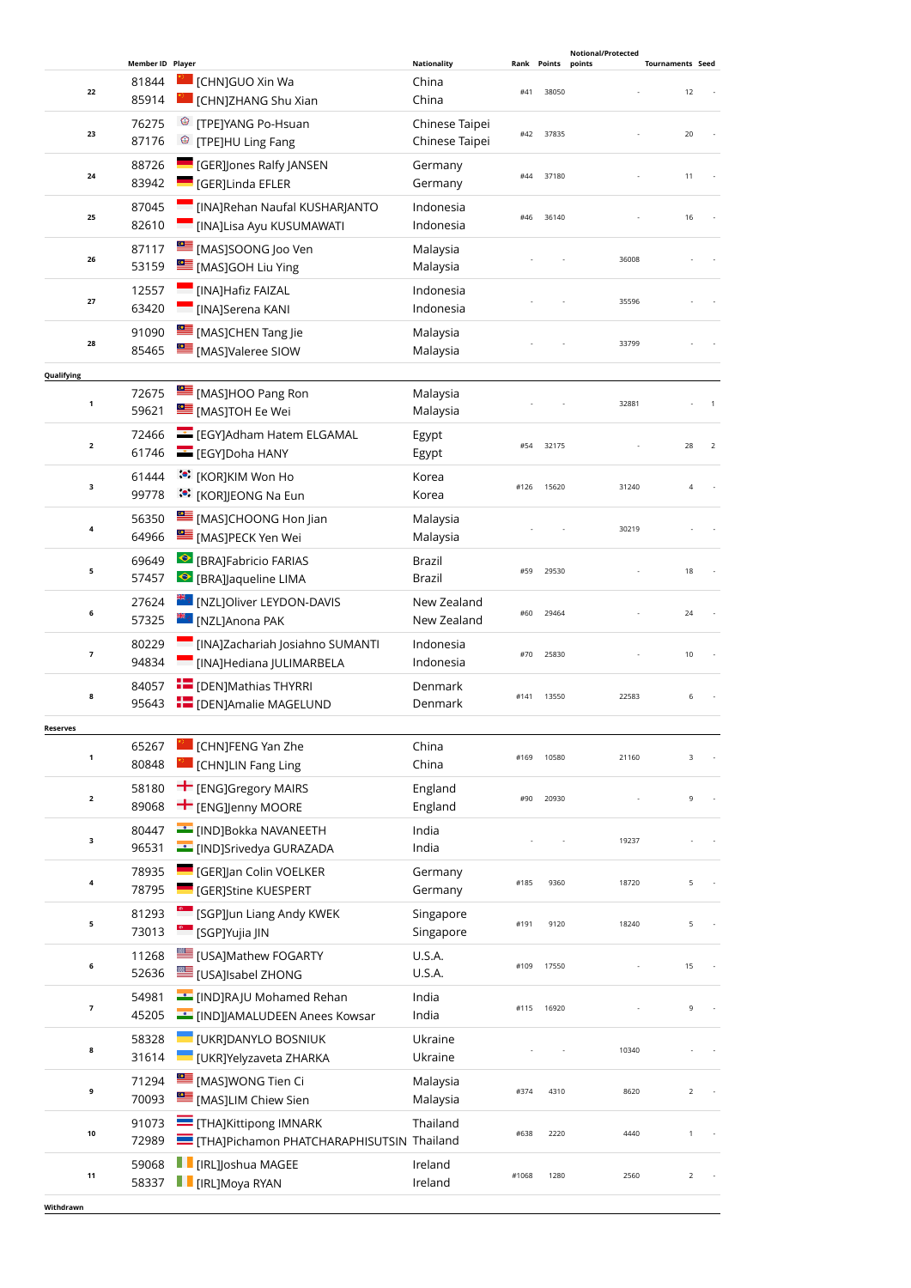|              |                                    |                                                                                              |                                      |       |                      | <b>Notional/Protected</b> |                               |
|--------------|------------------------------------|----------------------------------------------------------------------------------------------|--------------------------------------|-------|----------------------|---------------------------|-------------------------------|
| 22           | Member ID Player<br>81844<br>85914 | [CHN]GUO Xin Wa<br>[CHN]ZHANG Shu Xian                                                       | <b>Nationality</b><br>China<br>China | #41   | Rank Points<br>38050 | points                    | <b>Tournaments Seed</b><br>12 |
| 23           | 76275<br>87176                     | <sup>©</sup> [TPE]YANG Po-Hsuan<br><sup>©</sup> [TPE]HU Ling Fang                            | Chinese Taipei<br>Chinese Taipei     | #42   | 37835                |                           | 20                            |
| 24           | 88726<br>83942                     | <b>GER]Jones Ralfy JANSEN</b><br>[GER]Linda EFLER                                            | Germany<br>Germany                   | #44   | 37180                |                           | 11                            |
| 25           | 87045<br>82610                     | [INA]Rehan Naufal KUSHARJANTO<br><b>Example 12 INAJLisa Ayu KUSUMAWATI</b>                   | Indonesia<br>Indonesia               | #46   | 36140                |                           | 16                            |
| 26           | 87117<br>53159                     | MASJSOONG Joo Ven<br>[MAS]GOH Liu Ying                                                       | Malaysia<br>Malaysia                 |       |                      | 36008                     |                               |
| 27           | 12557<br>63420                     | [INA]Hafiz FAIZAL<br>[INA]Serena KANI                                                        | Indonesia<br>Indonesia               |       |                      | 35596                     |                               |
| 28           | 91090<br>85465                     | [MAS]CHEN Tang Jie<br><b>MAS</b> JValeree SIOW                                               | Malaysia<br>Malaysia                 |       |                      | 33799                     |                               |
| Qualifying   |                                    |                                                                                              |                                      |       |                      |                           |                               |
| $\mathbf 1$  | 72675<br>59621                     | [MAS]HOO Pang Ron<br>[MAS]TOH Ee Wei                                                         | Malaysia<br>Malaysia                 |       |                      | 32881                     |                               |
| $\mathbf{2}$ | 72466<br>61746                     | EGY]Adham Hatem ELGAMAL<br>EGY]Doha HANY                                                     | Egypt<br>Egypt                       | #54   | 32175                |                           | 28<br>$\overline{2}$          |
| з            | 61444<br>99778                     | ं•ें [KOR]KIM Won Ho<br><b>៉េ</b> : [KOR]JEONG Na Eun                                        | Korea<br>Korea                       | #126  | 15620                | 31240                     | 4                             |
| 4            | 56350<br>64966                     | [MAS]CHOONG Hon Jian<br>[MAS]PECK Yen Wei                                                    | Malaysia<br>Malaysia                 |       |                      | 30219                     |                               |
| 5            | 69649<br>57457                     | <b>BRAJFabricio FARIAS</b><br>● [BRA]Jaqueline LIMA                                          | Brazil<br>Brazil                     | #59   | 29530                |                           | 18                            |
| 6            | 27624<br>57325                     | <b>EDE</b> [NZL]Oliver LEYDON-DAVIS<br><sup><sub>#€</sub></sup> ∶ [NZL]Anona PAK             | New Zealand<br>New Zealand           | #60   | 29464                |                           | 24                            |
| 7            | 80229<br>94834                     | [INA]Zachariah Josiahno SUMANTI<br>[INA]Hediana JULIMARBELA                                  | Indonesia<br>Indonesia               | #70   | 25830                |                           | 10                            |
| 8            | 84057<br>95643                     | <b>E</b> [DEN]Mathias THYRRI<br><b>IDENJAmalie MAGELUND</b>                                  | Denmark<br>Denmark                   | #141  | 13550                | 22583                     | 6                             |
| Reserves     |                                    |                                                                                              |                                      |       |                      |                           |                               |
| 1            | 65267<br>80848                     | [CHN]FENG Yan Zhe<br>[CHN]LIN Fang Ling                                                      | China<br>China                       | #169  | 10580                | 21160                     | 3                             |
| $\mathbf{2}$ | 58180<br>89068                     | ← [ENG]Gregory MAIRS<br>$+$ [ENG]]enny MOORE                                                 | England<br>England                   | #90   | 20930                |                           | 9                             |
| з            | 80447<br>96531                     | <b>EXAMPLE THE IND JBokka NAVANEETH</b><br><b>Example 15</b> [IND]Srivedya GURAZADA          | India<br>India                       |       |                      | 19237                     |                               |
| 4            | 78935<br>78795                     | <b>GER]Jan Colin VOELKER</b><br>[GER]Stine KUESPERT                                          | Germany<br>Germany                   | #185  | 9360                 | 18720                     | 5                             |
| 5            | 81293<br>73013                     | <sup>e</sup> [SGP]Jun Liang Andy KWEK<br><sup>©</sup> [SGP]Yujia JIN                         | Singapore<br>Singapore               | #191  | 9120                 | 18240                     | 5                             |
| 6            | 11268<br>52636                     | <b>LE [USA]Mathew FOGARTY</b><br><b>USA]Isabel ZHONG</b>                                     | U.S.A.<br>U.S.A.                     | #109  | 17550                |                           | 15                            |
| 7            | 54981<br>45205                     | <b>EXAMPLE TEAD</b> [IND]RAJU Mohamed Rehan<br><b>Example 19 INDJJAMALUDEEN Anees Kowsar</b> | India<br>India                       | #115  | 16920                |                           | 9                             |
| 8            | 58328<br>31614                     | [UKR]DANYLO BOSNIUK<br><b>UKR]Yelyzaveta ZHARKA</b>                                          | Ukraine<br>Ukraine                   |       |                      | 10340                     |                               |
| 9            | 71294<br>70093                     | [MAS]WONG Tien Ci<br>[MAS]LIM Chiew Sien                                                     | Malaysia<br>Malaysia                 | #374  | 4310                 | 8620                      | $\overline{2}$                |
| 10           | 91073<br>72989                     | THA]Kittipong IMNARK<br>THAJPichamon PHATCHARAPHISUTSIN Thailand                             | Thailand                             | #638  | 2220                 | 4440                      | $\mathbf{1}$                  |
| 11           | 59068<br>58337                     | <b>FE</b> [IRL]Joshua MAGEE<br><b>F</b> [IRL]Moya RYAN                                       | Ireland<br>Ireland                   | #1068 | 1280                 | 2560                      | 2                             |
| Withdrawn    |                                    |                                                                                              |                                      |       |                      |                           |                               |